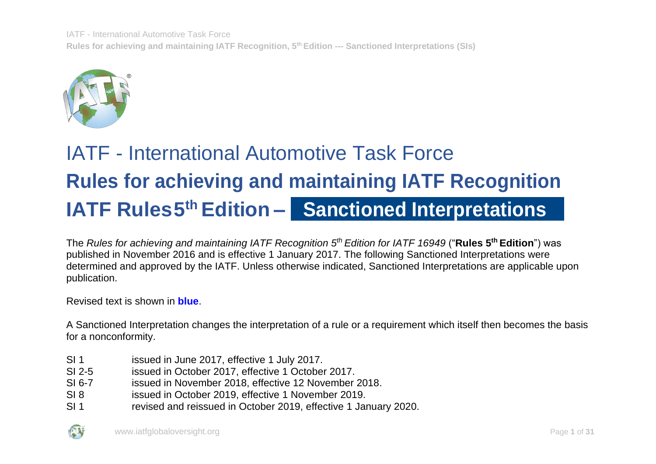IATF - International Automotive Task Force **Rules for achieving and maintaining IATF Recognition, 5th Edition --- Sanctioned Interpretations (SIs)**



## IATF - International Automotive Task Force **Rules for achieving and maintaining IATF Recognition IATF Rules5 th Edition – Sanctioned Interpretations**

The *Rules for achieving and maintaining IATF Recognition 5th Edition for IATF 16949* ("**Rules 5th Edition**") was published in November 2016 and is effective 1 January 2017. The following Sanctioned Interpretations were determined and approved by the IATF. Unless otherwise indicated, Sanctioned Interpretations are applicable upon publication.

Revised text is shown in **blue**.

A Sanctioned Interpretation changes the interpretation of a rule or a requirement which itself then becomes the basis for a nonconformity.

- SI 1 issued in June 2017, effective 1 July 2017.
- SI 2-5 issued in October 2017, effective 1 October 2017.
- SI 6-7 issued in November 2018, effective 12 November 2018.
- SI 8 issued in October 2019, effective 1 November 2019.
- SI 1 revised and reissued in October 2019, effective 1 January 2020.

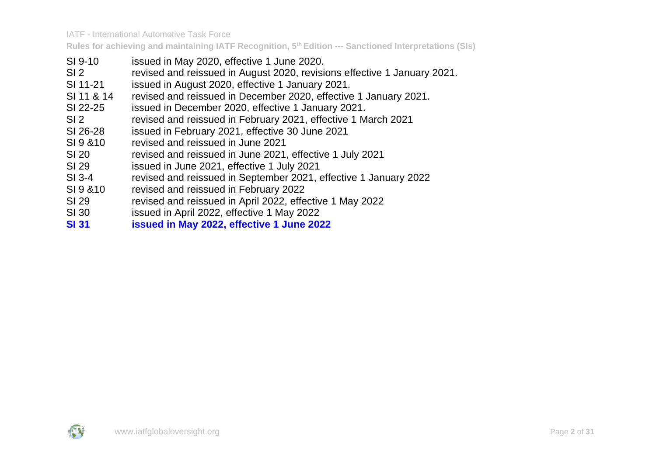IATF - International Automotive Task Force

- SI 9-10 issued in May 2020, effective 1 June 2020.
- SI 2 revised and reissued in August 2020, revisions effective 1 January 2021.
- SI 11-21 issued in August 2020, effective 1 January 2021.
- SI 11 & 14 revised and reissued in December 2020, effective 1 January 2021.
- SI 22-25 issued in December 2020, effective 1 January 2021.
- SI 2 revised and reissued in February 2021, effective 1 March 2021
- SI 26-28 issued in February 2021, effective 30 June 2021
- SI 9 &10 revised and reissued in June 2021
- SI 20 revised and reissued in June 2021, effective 1 July 2021
- SI 29 issued in June 2021, effective 1 July 2021
- SI 3-4 revised and reissued in September 2021, effective 1 January 2022
- SI 9 &10 revised and reissued in February 2022
- SI 29 revised and reissued in April 2022, effective 1 May 2022
- SI 30 issued in April 2022, effective 1 May 2022
- **SI 31 issued in May 2022, effective 1 June 2022**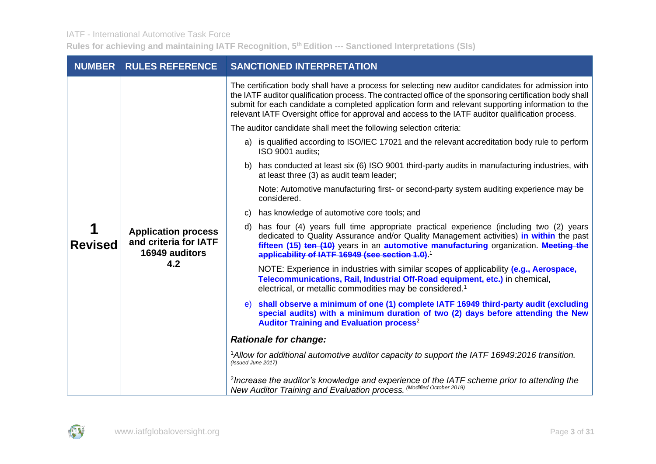|                | <b>NUMBER RULES REFERENCE</b>                                                | <b>SANCTIONED INTERPRETATION</b>                                                                                                                                                                                                                                                                                                                                                                                                                                                                |
|----------------|------------------------------------------------------------------------------|-------------------------------------------------------------------------------------------------------------------------------------------------------------------------------------------------------------------------------------------------------------------------------------------------------------------------------------------------------------------------------------------------------------------------------------------------------------------------------------------------|
|                |                                                                              | The certification body shall have a process for selecting new auditor candidates for admission into<br>the IATF auditor qualification process. The contracted office of the sponsoring certification body shall<br>submit for each candidate a completed application form and relevant supporting information to the<br>relevant IATF Oversight office for approval and access to the IATF auditor qualification process.<br>The auditor candidate shall meet the following selection criteria: |
|                |                                                                              | a) is qualified according to ISO/IEC 17021 and the relevant accreditation body rule to perform<br>ISO 9001 audits;                                                                                                                                                                                                                                                                                                                                                                              |
|                |                                                                              | b) has conducted at least six (6) ISO 9001 third-party audits in manufacturing industries, with<br>at least three (3) as audit team leader;                                                                                                                                                                                                                                                                                                                                                     |
|                | <b>Application process</b><br>and criteria for IATF<br>16949 auditors<br>4.2 | Note: Automotive manufacturing first- or second-party system auditing experience may be<br>considered.                                                                                                                                                                                                                                                                                                                                                                                          |
|                |                                                                              | has knowledge of automotive core tools; and<br>C)                                                                                                                                                                                                                                                                                                                                                                                                                                               |
| <b>Revised</b> |                                                                              | has four (4) years full time appropriate practical experience (including two (2) years<br>d)<br>dedicated to Quality Assurance and/or Quality Management activities) in within the past<br>fifteen (15) ten (10) years in an automotive manufacturing organization. Meeting the<br>applicability of IATF 16949 (see section 1.0) <sup>1</sup>                                                                                                                                                   |
|                |                                                                              | NOTE: Experience in industries with similar scopes of applicability (e.g., Aerospace,<br>Telecommunications, Rail, Industrial Off-Road equipment, etc.) in chemical,<br>electrical, or metallic commodities may be considered. <sup>1</sup>                                                                                                                                                                                                                                                     |
|                |                                                                              | shall observe a minimum of one (1) complete IATF 16949 third-party audit (excluding<br>e)<br>special audits) with a minimum duration of two (2) days before attending the New<br><b>Auditor Training and Evaluation process<sup>2</sup></b>                                                                                                                                                                                                                                                     |
|                |                                                                              | <b>Rationale for change:</b>                                                                                                                                                                                                                                                                                                                                                                                                                                                                    |
|                |                                                                              | 1Allow for additional automotive auditor capacity to support the IATF 16949:2016 transition.<br>(Issued June 2017)                                                                                                                                                                                                                                                                                                                                                                              |
|                |                                                                              | <sup>2</sup> Increase the auditor's knowledge and experience of the IATF scheme prior to attending the<br>New Auditor Training and Evaluation process. (Modified October 2019)                                                                                                                                                                                                                                                                                                                  |

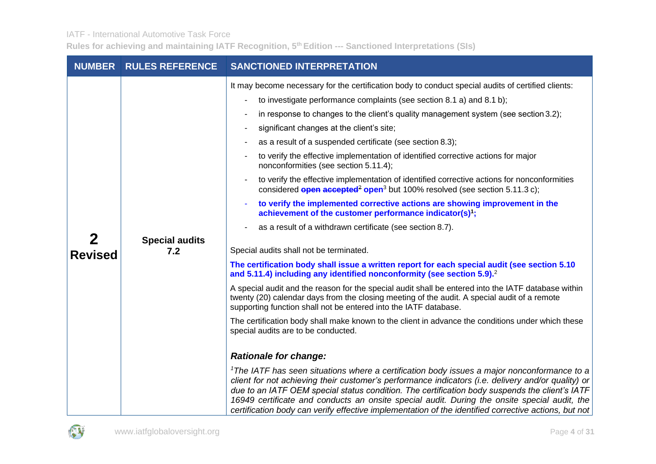|                | <b>NUMBER RULES REFERENCE</b> | <b>SANCTIONED INTERPRETATION</b>                                                                                                                                                                                                                                                                                                                                                                                                                                                                                                                                                                                                                                                                                                                                                                                                                                                                                                                                                                                                                                                                                                                                                                                                                                                                                                                                                                                                                                                                                                                                                                                                                                                                                                                                                                                                                                                                                                                                                                                                                                                                                                                           |
|----------------|-------------------------------|------------------------------------------------------------------------------------------------------------------------------------------------------------------------------------------------------------------------------------------------------------------------------------------------------------------------------------------------------------------------------------------------------------------------------------------------------------------------------------------------------------------------------------------------------------------------------------------------------------------------------------------------------------------------------------------------------------------------------------------------------------------------------------------------------------------------------------------------------------------------------------------------------------------------------------------------------------------------------------------------------------------------------------------------------------------------------------------------------------------------------------------------------------------------------------------------------------------------------------------------------------------------------------------------------------------------------------------------------------------------------------------------------------------------------------------------------------------------------------------------------------------------------------------------------------------------------------------------------------------------------------------------------------------------------------------------------------------------------------------------------------------------------------------------------------------------------------------------------------------------------------------------------------------------------------------------------------------------------------------------------------------------------------------------------------------------------------------------------------------------------------------------------------|
| <b>Revised</b> | <b>Special audits</b><br>7.2  | It may become necessary for the certification body to conduct special audits of certified clients:<br>to investigate performance complaints (see section 8.1 a) and 8.1 b);<br>in response to changes to the client's quality management system (see section 3.2);<br>significant changes at the client's site;<br>as a result of a suspended certificate (see section 8.3);<br>to verify the effective implementation of identified corrective actions for major<br>nonconformities (see section 5.11.4);<br>to verify the effective implementation of identified corrective actions for nonconformities<br>considered <b>open accepted<sup>2</sup> open</b> <sup>3</sup> but 100% resolved (see section 5.11.3 c);<br>to verify the implemented corrective actions are showing improvement in the<br>achievement of the customer performance indicator(s) <sup>1</sup> ;<br>as a result of a withdrawn certificate (see section 8.7).<br>Special audits shall not be terminated.<br>The certification body shall issue a written report for each special audit (see section 5.10<br>and 5.11.4) including any identified nonconformity (see section 5.9). <sup>2</sup><br>A special audit and the reason for the special audit shall be entered into the IATF database within<br>twenty (20) calendar days from the closing meeting of the audit. A special audit of a remote<br>supporting function shall not be entered into the IATF database.<br>The certification body shall make known to the client in advance the conditions under which these<br>special audits are to be conducted.<br><b>Rationale for change:</b><br><sup>1</sup> The IATF has seen situations where a certification body issues a major nonconformance to a<br>client for not achieving their customer's performance indicators (i.e. delivery and/or quality) or<br>due to an IATF OEM special status condition. The certification body suspends the client's IATF<br>16949 certificate and conducts an onsite special audit. During the onsite special audit, the<br>certification body can verify effective implementation of the identified corrective actions, but not |

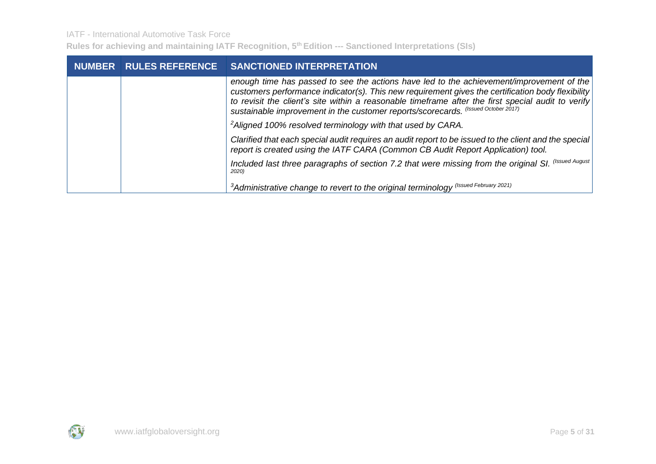IATF - International Automotive Task Force

| <b>RULES REFERENCE</b> | <b>SANCTIONED INTERPRETATION</b>                                                                                                                                                                                                                                                                                                                                                         |
|------------------------|------------------------------------------------------------------------------------------------------------------------------------------------------------------------------------------------------------------------------------------------------------------------------------------------------------------------------------------------------------------------------------------|
|                        | enough time has passed to see the actions have led to the achievement/improvement of the<br>customers performance indicator(s). This new requirement gives the certification body flexibility<br>to revisit the client's site within a reasonable timeframe after the first special audit to verify<br>sustainable improvement in the customer reports/scorecards. (Issued October 2017) |
|                        | <sup>2</sup> Aligned 100% resolved terminology with that used by CARA.                                                                                                                                                                                                                                                                                                                   |
|                        | Clarified that each special audit requires an audit report to be issued to the client and the special<br>report is created using the IATF CARA (Common CB Audit Report Application) tool.                                                                                                                                                                                                |
|                        | Included last three paragraphs of section 7.2 that were missing from the original SI. (Issued August<br>2020)                                                                                                                                                                                                                                                                            |
|                        | <sup>3</sup> Administrative change to revert to the original terminology (Issued February 2021)                                                                                                                                                                                                                                                                                          |

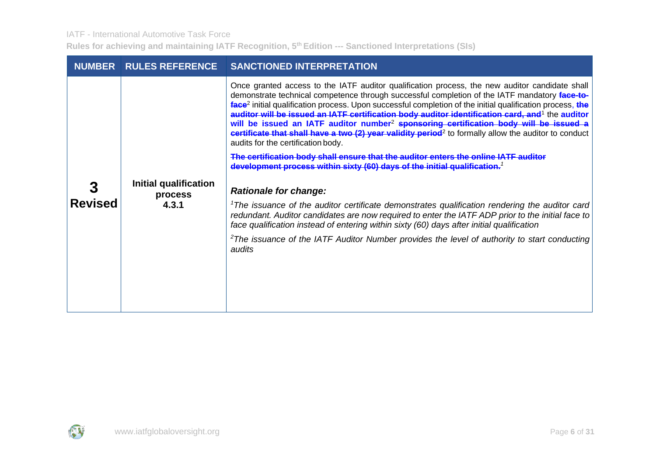| <b>NUMBER</b>  | <b>RULES REFERENCE</b>           | <b>SANCTIONED INTERPRETATION</b>                                                                                                                                                                                                                                                                                                                                                                                                                                                                                                                                                                                                                                                                       |
|----------------|----------------------------------|--------------------------------------------------------------------------------------------------------------------------------------------------------------------------------------------------------------------------------------------------------------------------------------------------------------------------------------------------------------------------------------------------------------------------------------------------------------------------------------------------------------------------------------------------------------------------------------------------------------------------------------------------------------------------------------------------------|
|                |                                  | Once granted access to the IATF auditor qualification process, the new auditor candidate shall<br>demonstrate technical competence through successful completion of the IATF mandatory face-to-<br>face <sup>2</sup> initial qualification process. Upon successful completion of the initial qualification process, the<br>auditor will be issued an IATF certification body auditor identification card, and <sup>1</sup> the auditor<br>will be issued an IATF auditor number <sup>2</sup> sponsoring certification body will be issued a<br>certificate that shall have a two (2) year validity period <sup>2</sup> to formally allow the auditor to conduct<br>audits for the certification body. |
|                |                                  | The certification body shall ensure that the auditor enters the online IATF auditor<br>development process within sixty (60) days of the initial qualification. <sup>1</sup>                                                                                                                                                                                                                                                                                                                                                                                                                                                                                                                           |
|                | Initial qualification<br>process | <b>Rationale for change:</b>                                                                                                                                                                                                                                                                                                                                                                                                                                                                                                                                                                                                                                                                           |
| <b>Revised</b> | 4.3.1                            | <sup>1</sup> The issuance of the auditor certificate demonstrates qualification rendering the auditor card<br>redundant. Auditor candidates are now required to enter the IATF ADP prior to the initial face to<br>face qualification instead of entering within sixty (60) days after initial qualification                                                                                                                                                                                                                                                                                                                                                                                           |
|                |                                  | <sup>2</sup> The issuance of the IATF Auditor Number provides the level of authority to start conducting<br>audits                                                                                                                                                                                                                                                                                                                                                                                                                                                                                                                                                                                     |
|                |                                  |                                                                                                                                                                                                                                                                                                                                                                                                                                                                                                                                                                                                                                                                                                        |
|                |                                  |                                                                                                                                                                                                                                                                                                                                                                                                                                                                                                                                                                                                                                                                                                        |

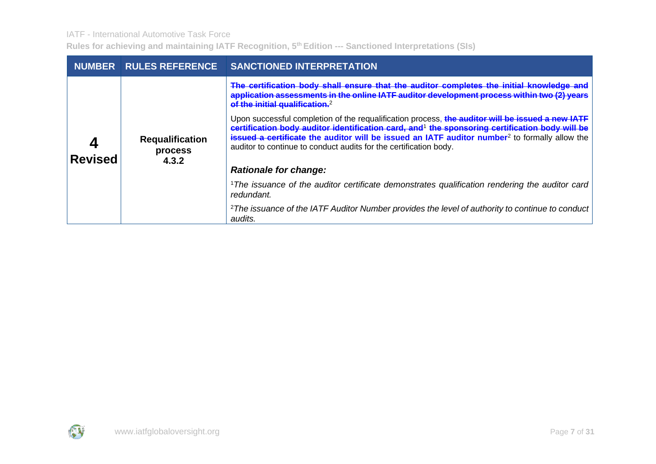IATF - International Automotive Task Force

|                | NUMBER RULES REFERENCE                     | <b>SANCTIONED INTERPRETATION</b>                                                                                                                                                                                                                                                                                                          |
|----------------|--------------------------------------------|-------------------------------------------------------------------------------------------------------------------------------------------------------------------------------------------------------------------------------------------------------------------------------------------------------------------------------------------|
| <b>Revised</b> | <b>Requalification</b><br>process<br>4.3.2 | The certification body shall ensure that the auditor completes the initial knowledge and<br>application assessments in the online IATF auditor development process within two (2) years<br>of the initial qualification. <sup>2</sup><br>Upon successful completion of the requalification process, the auditor will be issued a new IATF |
|                |                                            | certification body auditor identification card, and <sup>1</sup> the sponsoring certification body will be<br>issued a certificate the auditor will be issued an IATF auditor number <sup>2</sup> to formally allow the<br>auditor to continue to conduct audits for the certification body.                                              |
|                |                                            | <b>Rationale for change:</b>                                                                                                                                                                                                                                                                                                              |
|                |                                            | <sup>1</sup> The issuance of the auditor certificate demonstrates qualification rendering the auditor card<br>redundant.                                                                                                                                                                                                                  |
|                |                                            | <sup>2</sup> The issuance of the IATF Auditor Number provides the level of authority to continue to conduct<br>audits.                                                                                                                                                                                                                    |

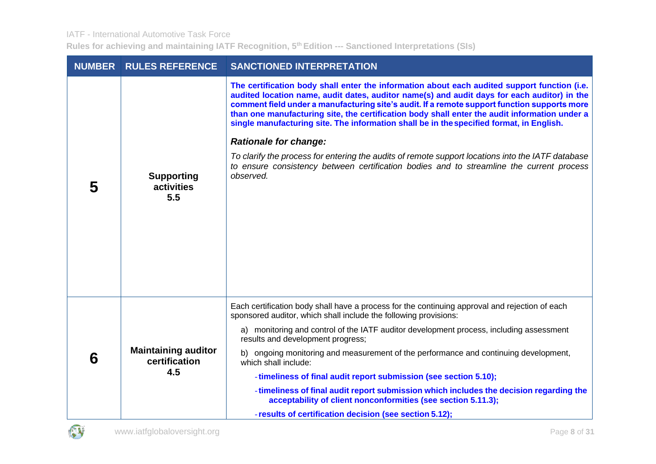| <b>NUMBER</b> | <b>RULES REFERENCE</b>                             | <b>SANCTIONED INTERPRETATION</b>                                                                                                                                                                                                                                                                                                                                                                                                                                                                                                                                                                                                                                                                                                       |
|---------------|----------------------------------------------------|----------------------------------------------------------------------------------------------------------------------------------------------------------------------------------------------------------------------------------------------------------------------------------------------------------------------------------------------------------------------------------------------------------------------------------------------------------------------------------------------------------------------------------------------------------------------------------------------------------------------------------------------------------------------------------------------------------------------------------------|
| 5             | <b>Supporting</b><br>activities<br>5.5             | The certification body shall enter the information about each audited support function (i.e.<br>audited location name, audit dates, auditor name(s) and audit days for each auditor) in the<br>comment field under a manufacturing site's audit. If a remote support function supports more<br>than one manufacturing site, the certification body shall enter the audit information under a<br>single manufacturing site. The information shall be in the specified format, in English.<br><b>Rationale for change:</b><br>To clarify the process for entering the audits of remote support locations into the IATF database<br>to ensure consistency between certification bodies and to streamline the current process<br>observed. |
| 6             | <b>Maintaining auditor</b><br>certification<br>4.5 | Each certification body shall have a process for the continuing approval and rejection of each<br>sponsored auditor, which shall include the following provisions:<br>a) monitoring and control of the IATF auditor development process, including assessment<br>results and development progress;<br>b) ongoing monitoring and measurement of the performance and continuing development,<br>which shall include:<br>-timeliness of final audit report submission (see section 5.10);<br>-timeliness of final audit report submission which includes the decision regarding the<br>acceptability of client nonconformities (see section 5.11.3);<br>- results of certification decision (see section 5.12);                           |

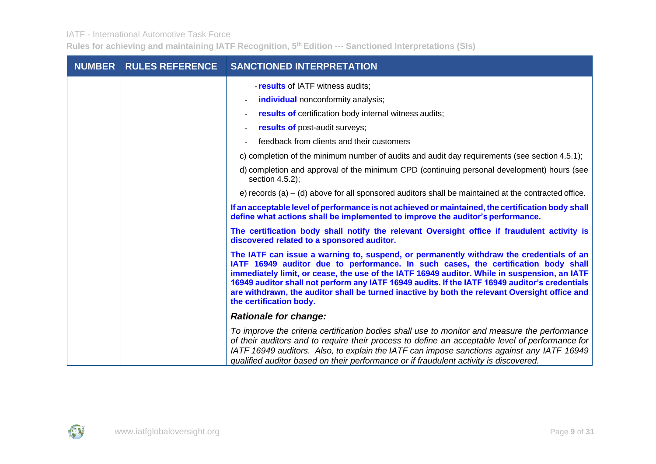| NUMBER RULES REFERENCE | <b>SANCTIONED INTERPRETATION</b>                                                                                                                                                                                                                                                                                                                                                                                                                                                                            |
|------------------------|-------------------------------------------------------------------------------------------------------------------------------------------------------------------------------------------------------------------------------------------------------------------------------------------------------------------------------------------------------------------------------------------------------------------------------------------------------------------------------------------------------------|
|                        | -results of IATF witness audits;                                                                                                                                                                                                                                                                                                                                                                                                                                                                            |
|                        | individual nonconformity analysis;                                                                                                                                                                                                                                                                                                                                                                                                                                                                          |
|                        | results of certification body internal witness audits;                                                                                                                                                                                                                                                                                                                                                                                                                                                      |
|                        | results of post-audit surveys;                                                                                                                                                                                                                                                                                                                                                                                                                                                                              |
|                        | feedback from clients and their customers                                                                                                                                                                                                                                                                                                                                                                                                                                                                   |
|                        | c) completion of the minimum number of audits and audit day requirements (see section 4.5.1);                                                                                                                                                                                                                                                                                                                                                                                                               |
|                        | d) completion and approval of the minimum CPD (continuing personal development) hours (see<br>section 4.5.2);                                                                                                                                                                                                                                                                                                                                                                                               |
|                        | e) records (a) $-$ (d) above for all sponsored auditors shall be maintained at the contracted office.                                                                                                                                                                                                                                                                                                                                                                                                       |
|                        | If an acceptable level of performance is not achieved or maintained, the certification body shall<br>define what actions shall be implemented to improve the auditor's performance.                                                                                                                                                                                                                                                                                                                         |
|                        | The certification body shall notify the relevant Oversight office if fraudulent activity is<br>discovered related to a sponsored auditor.                                                                                                                                                                                                                                                                                                                                                                   |
|                        | The IATF can issue a warning to, suspend, or permanently withdraw the credentials of an<br>IATF 16949 auditor due to performance. In such cases, the certification body shall<br>immediately limit, or cease, the use of the IATF 16949 auditor. While in suspension, an IATF<br>16949 auditor shall not perform any IATF 16949 audits. If the IATF 16949 auditor's credentials<br>are withdrawn, the auditor shall be turned inactive by both the relevant Oversight office and<br>the certification body. |
|                        | <b>Rationale for change:</b>                                                                                                                                                                                                                                                                                                                                                                                                                                                                                |
|                        | To improve the criteria certification bodies shall use to monitor and measure the performance<br>of their auditors and to require their process to define an acceptable level of performance for<br>IATF 16949 auditors. Also, to explain the IATF can impose sanctions against any IATF 16949<br>qualified auditor based on their performance or if fraudulent activity is discovered.                                                                                                                     |

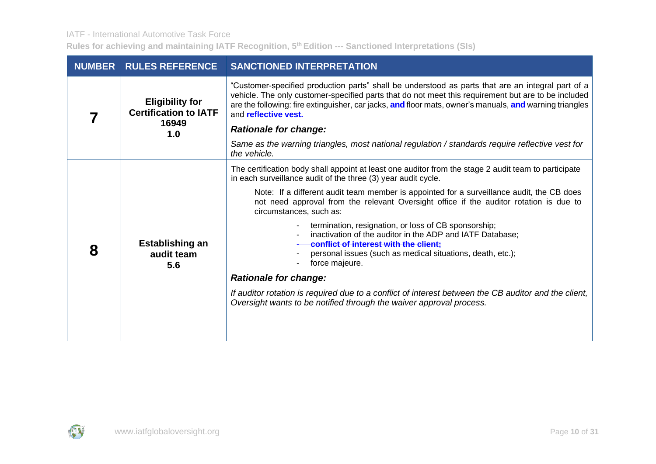| <b>NUMBER</b> | <b>RULES REFERENCE</b>                                 | <b>SANCTIONED INTERPRETATION</b>                                                                                                                                                                                                                                                                                                                          |
|---------------|--------------------------------------------------------|-----------------------------------------------------------------------------------------------------------------------------------------------------------------------------------------------------------------------------------------------------------------------------------------------------------------------------------------------------------|
|               | <b>Eligibility for</b><br><b>Certification to IATF</b> | "Customer-specified production parts" shall be understood as parts that are an integral part of a<br>vehicle. The only customer-specified parts that do not meet this requirement but are to be included<br>are the following: fire extinguisher, car jacks, <b>and floor</b> mats, owner's manuals, <b>and</b> warning triangles<br>and reflective vest. |
|               | 16949<br>1.0                                           | <b>Rationale for change:</b>                                                                                                                                                                                                                                                                                                                              |
|               |                                                        | Same as the warning triangles, most national regulation / standards require reflective vest for<br>the vehicle.                                                                                                                                                                                                                                           |
| 8             | <b>Establishing an</b><br>audit team<br>5.6            | The certification body shall appoint at least one auditor from the stage 2 audit team to participate<br>in each surveillance audit of the three (3) year audit cycle.                                                                                                                                                                                     |
|               |                                                        | Note: If a different audit team member is appointed for a surveillance audit, the CB does<br>not need approval from the relevant Oversight office if the auditor rotation is due to<br>circumstances, such as:                                                                                                                                            |
|               |                                                        | termination, resignation, or loss of CB sponsorship;<br>inactivation of the auditor in the ADP and IATF Database;<br>conflict of interest with the client;<br>personal issues (such as medical situations, death, etc.);<br>force majeure.                                                                                                                |
|               |                                                        | <b>Rationale for change:</b>                                                                                                                                                                                                                                                                                                                              |
|               |                                                        | If auditor rotation is required due to a conflict of interest between the CB auditor and the client,<br>Oversight wants to be notified through the waiver approval process.                                                                                                                                                                               |
|               |                                                        |                                                                                                                                                                                                                                                                                                                                                           |

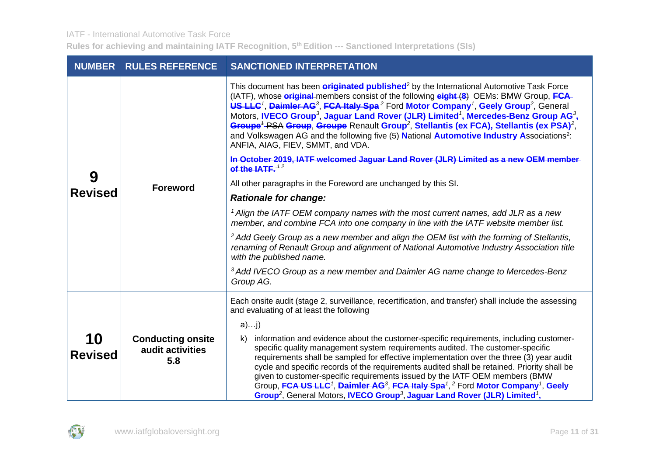|                      | <b>NUMBER RULES REFERENCE</b>                       | <b>SANCTIONED INTERPRETATION</b>                                                                                                                                                                                                                                                                                                                                                                                                                                                                                                                                                                                                                                                                                                                                                                                                                                                                                                                                                                                                                                                                                                                                                                                                                                                                                                                                                                                                                                                                                     |
|----------------------|-----------------------------------------------------|----------------------------------------------------------------------------------------------------------------------------------------------------------------------------------------------------------------------------------------------------------------------------------------------------------------------------------------------------------------------------------------------------------------------------------------------------------------------------------------------------------------------------------------------------------------------------------------------------------------------------------------------------------------------------------------------------------------------------------------------------------------------------------------------------------------------------------------------------------------------------------------------------------------------------------------------------------------------------------------------------------------------------------------------------------------------------------------------------------------------------------------------------------------------------------------------------------------------------------------------------------------------------------------------------------------------------------------------------------------------------------------------------------------------------------------------------------------------------------------------------------------------|
| 9<br><b>Revised</b>  | <b>Foreword</b>                                     | This document has been <b>eriginated published</b> <sup>2</sup> by the International Automotive Task Force<br>(IATF), whose <b>eriginal</b> members consist of the following eight (8) OEMs: BMW Group, FCA-<br>US LLC <sup>1</sup> , Daimler AG <sup>3</sup> , FCA Italy Spa <sup>2</sup> Ford Motor Company <sup>1</sup> , Geely Group <sup>2</sup> , General<br>Motors, IVECO Group <sup>3</sup> , Jaguar Land Rover (JLR) Limited <sup>1</sup> , Mercedes-Benz Group AG <sup>3</sup> ,<br>Groupe <sup>1</sup> -PSA Group, Groupe Renault Group <sup>2</sup> , Stellantis (ex FCA), Stellantis (ex PSA) <sup>2</sup> ,<br>and Volkswagen AG and the following five (5) National Automotive Industry Associations <sup>2</sup> :<br>ANFIA, AIAG, FIEV, SMMT, and VDA.<br>In October 2019, IATF welcomed Jaquar Land Rover (JLR) Limited as a new OEM member-<br>of the IATE. $42$<br>All other paragraphs in the Foreword are unchanged by this SI.<br><b>Rationale for change:</b><br><sup>1</sup> Align the IATF OEM company names with the most current names, add JLR as a new<br>member, and combine FCA into one company in line with the IATF website member list.<br><sup>2</sup> Add Geely Group as a new member and align the OEM list with the forming of Stellantis,<br>renaming of Renault Group and alignment of National Automotive Industry Association title<br>with the published name.<br><sup>3</sup> Add IVECO Group as a new member and Daimler AG name change to Mercedes-Benz<br>Group AG. |
| 10<br><b>Revised</b> | <b>Conducting onsite</b><br>audit activities<br>5.8 | Each onsite audit (stage 2, surveillance, recertification, and transfer) shall include the assessing<br>and evaluating of at least the following<br>$a)$ j)<br>information and evidence about the customer-specific requirements, including customer-<br>$\mathsf{k}$<br>specific quality management system requirements audited. The customer-specific<br>requirements shall be sampled for effective implementation over the three (3) year audit<br>cycle and specific records of the requirements audited shall be retained. Priority shall be<br>given to customer-specific requirements issued by the IATF OEM members (BMW<br>Group, FCA US LLC <sup>1</sup> , Daimler AG <sup>3</sup> , FCA Italy Spa <sup>1</sup> , <sup>2</sup> Ford Motor Company <sup>1</sup> , Geely<br>Group <sup>2</sup> , General Motors, IVECO Group <sup>3</sup> , Jaguar Land Rover (JLR) Limited <sup>1</sup> ,                                                                                                                                                                                                                                                                                                                                                                                                                                                                                                                                                                                                                  |

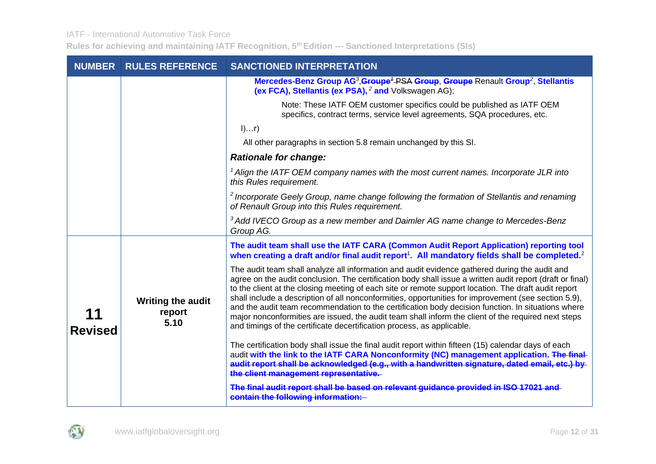|                | <b>NUMBER RULES REFERENCE</b>              | <b>SANCTIONED INTERPRETATION</b>                                                                                                                                                                                                                                                                                                                                                                                                                                                                                                                                                                                                                                                                                  |
|----------------|--------------------------------------------|-------------------------------------------------------------------------------------------------------------------------------------------------------------------------------------------------------------------------------------------------------------------------------------------------------------------------------------------------------------------------------------------------------------------------------------------------------------------------------------------------------------------------------------------------------------------------------------------------------------------------------------------------------------------------------------------------------------------|
|                |                                            | Mercedes-Benz Group AG <sup>3</sup> , Groupe <sup>4</sup> PSA Group, Groupe Renault Group <sup>2</sup> , Stellantis<br>(ex FCA), Stellantis (ex PSA), <sup>2</sup> and Volkswagen AG);                                                                                                                                                                                                                                                                                                                                                                                                                                                                                                                            |
|                |                                            | Note: These IATF OEM customer specifics could be published as IATF OEM<br>specifics, contract terms, service level agreements, SQA procedures, etc.                                                                                                                                                                                                                                                                                                                                                                                                                                                                                                                                                               |
|                |                                            | $I)$ r)                                                                                                                                                                                                                                                                                                                                                                                                                                                                                                                                                                                                                                                                                                           |
|                |                                            | All other paragraphs in section 5.8 remain unchanged by this SI.                                                                                                                                                                                                                                                                                                                                                                                                                                                                                                                                                                                                                                                  |
|                |                                            | <b>Rationale for change:</b>                                                                                                                                                                                                                                                                                                                                                                                                                                                                                                                                                                                                                                                                                      |
|                |                                            | $^1$ Align the IATF OEM company names with the most current names. Incorporate JLR into<br>this Rules requirement.                                                                                                                                                                                                                                                                                                                                                                                                                                                                                                                                                                                                |
|                |                                            | <sup>2</sup> Incorporate Geely Group, name change following the formation of Stellantis and renaming<br>of Renault Group into this Rules requirement.                                                                                                                                                                                                                                                                                                                                                                                                                                                                                                                                                             |
|                |                                            | <sup>3</sup> Add IVECO Group as a new member and Daimler AG name change to Mercedes-Benz<br>Group AG.                                                                                                                                                                                                                                                                                                                                                                                                                                                                                                                                                                                                             |
|                |                                            | The audit team shall use the IATF CARA (Common Audit Report Application) reporting tool<br>when creating a draft and/or final audit report <sup>1</sup> . All mandatory fields shall be completed. <sup>2</sup>                                                                                                                                                                                                                                                                                                                                                                                                                                                                                                   |
| <b>Revised</b> | <b>Writing the audit</b><br>report<br>5.10 | The audit team shall analyze all information and audit evidence gathered during the audit and<br>agree on the audit conclusion. The certification body shall issue a written audit report (draft or final)<br>to the client at the closing meeting of each site or remote support location. The draft audit report<br>shall include a description of all nonconformities, opportunities for improvement (see section 5.9),<br>and the audit team recommendation to the certification body decision function. In situations where<br>major nonconformities are issued, the audit team shall inform the client of the required next steps<br>and timings of the certificate decertification process, as applicable. |
|                |                                            | The certification body shall issue the final audit report within fifteen (15) calendar days of each<br>audit with the link to the IATF CARA Nonconformity (NC) management application. The final-<br>audit report shall be acknowledged (e.g., with a handwritten signature, dated email, etc.) by<br>the client management representative.                                                                                                                                                                                                                                                                                                                                                                       |
|                |                                            | The final audit report shall be based on relevant guidance provided in ISO 17021 and<br>contain the following information:                                                                                                                                                                                                                                                                                                                                                                                                                                                                                                                                                                                        |

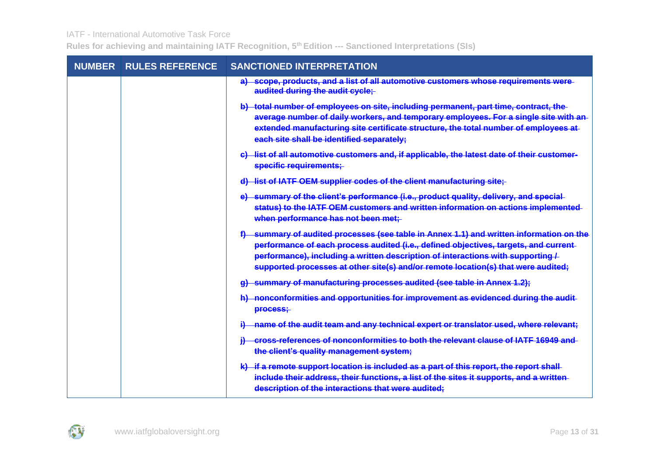| <b>NUMBER RULES REFERENCE</b> | <b>SANCTIONED INTERPRETATION</b>                                                                                                                                                                                                                                                                                                                        |
|-------------------------------|---------------------------------------------------------------------------------------------------------------------------------------------------------------------------------------------------------------------------------------------------------------------------------------------------------------------------------------------------------|
|                               | a) scope, products, and a list of all automotive customers whose requirements were<br>audited during the audit cycle;                                                                                                                                                                                                                                   |
|                               | b) total number of employees on site, including permanent, part time, contract, the<br>average number of daily workers, and temporary employees. For a single site with an-<br>extended manufacturing site certificate structure, the total number of employees at<br>each site shall be identified separately;                                         |
|                               | c) list of all automotive customers and, if applicable, the latest date of their customer-<br>specific requirements;                                                                                                                                                                                                                                    |
|                               | d) list of IATF OEM supplier codes of the client manufacturing site;                                                                                                                                                                                                                                                                                    |
|                               | e) summary of the client's performance (i.e., product quality, delivery, and special-<br>status) to the IATF OEM customers and written information on actions implemented<br>when performance has not been met;                                                                                                                                         |
|                               | f) summary of audited processes (see table in Annex 1.1) and written information on the<br>performance of each process audited (i.e., defined objectives, targets, and current-<br>performance), including a written description of interactions with supporting /<br>supported processes at other site(s) and/or remote location(s) that were audited; |
|                               | g) summary of manufacturing processes audited (see table in Annex 1.2);                                                                                                                                                                                                                                                                                 |
|                               | h) nonconformities and opportunities for improvement as evidenced during the audit-<br>process:                                                                                                                                                                                                                                                         |
|                               | -name of the audit team and any technical expert or translator used, where relevant;                                                                                                                                                                                                                                                                    |
|                               | -cross-references of nonconformities to both the relevant clause of IATF 16949 and<br>the client's quality management system;                                                                                                                                                                                                                           |
|                               | k) if a remote support location is included as a part of this report, the report shall-<br>include their address, their functions, a list of the sites it supports, and a written-<br>description of the interactions that were audited;                                                                                                                |

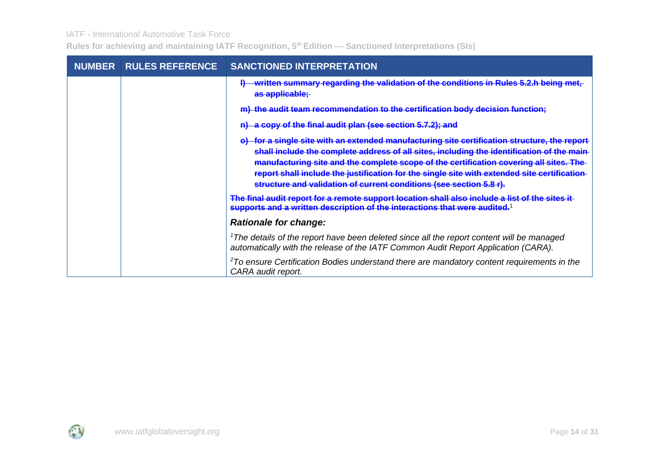| <b>NUMBER RULES REFERENCE</b> | <b>SANCTIONED INTERPRETATION</b>                                                                                                                                                                                                                                                                                                                                                                                                                          |
|-------------------------------|-----------------------------------------------------------------------------------------------------------------------------------------------------------------------------------------------------------------------------------------------------------------------------------------------------------------------------------------------------------------------------------------------------------------------------------------------------------|
|                               | written summary regarding the validation of the conditions in Rules 5.2.h being met,<br>as applicable;                                                                                                                                                                                                                                                                                                                                                    |
|                               | m) the audit team recommendation to the certification body decision function;                                                                                                                                                                                                                                                                                                                                                                             |
|                               | n) a copy of the final audit plan (see section 5.7.2); and                                                                                                                                                                                                                                                                                                                                                                                                |
|                               | o) for a single site with an extended manufacturing site certification structure, the report<br>shall include the complete address of all sites, including the identification of the main<br>manufacturing site and the complete scope of the certification covering all sites. The<br>report shall include the justification for the single site with extended site certification<br>structure and validation of current conditions (see section 5.8 r). |
|                               | The final audit report for a remote support location shall also include a list of the sites it<br>supports and a written description of the interactions that were audited. <sup>1</sup>                                                                                                                                                                                                                                                                  |
|                               | <b>Rationale for change:</b>                                                                                                                                                                                                                                                                                                                                                                                                                              |
|                               | <sup>1</sup> The details of the report have been deleted since all the report content will be managed<br>automatically with the release of the IATF Common Audit Report Application (CARA).                                                                                                                                                                                                                                                               |
|                               | $27$ o ensure Certification Bodies understand there are mandatory content requirements in the<br>CARA audit report.                                                                                                                                                                                                                                                                                                                                       |

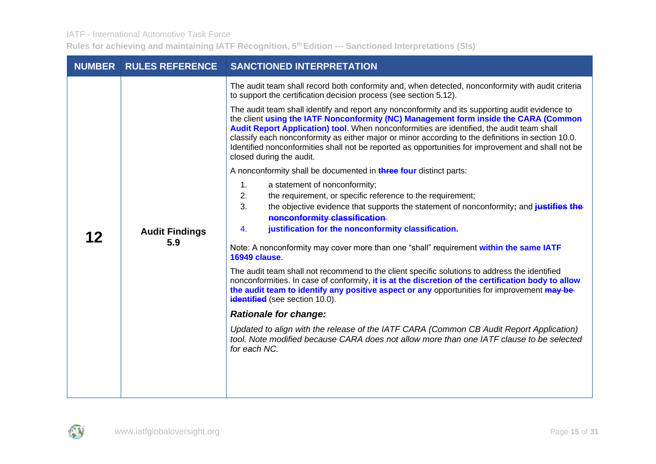| <b>NUMBER</b> | <b>RULES REFERENCE</b>       | <b>SANCTIONED INTERPRETATION</b>                                                                                                                                                                                                                                                                                                                                                                                                                                                                                                                                                                                                                                                                                                                                                                                                                                                                                                                                                              |  |  |  |  |
|---------------|------------------------------|-----------------------------------------------------------------------------------------------------------------------------------------------------------------------------------------------------------------------------------------------------------------------------------------------------------------------------------------------------------------------------------------------------------------------------------------------------------------------------------------------------------------------------------------------------------------------------------------------------------------------------------------------------------------------------------------------------------------------------------------------------------------------------------------------------------------------------------------------------------------------------------------------------------------------------------------------------------------------------------------------|--|--|--|--|
|               |                              | The audit team shall record both conformity and, when detected, nonconformity with audit criteria<br>to support the certification decision process (see section 5.12).                                                                                                                                                                                                                                                                                                                                                                                                                                                                                                                                                                                                                                                                                                                                                                                                                        |  |  |  |  |
|               |                              | The audit team shall identify and report any nonconformity and its supporting audit evidence to<br>the client using the IATF Nonconformity (NC) Management form inside the CARA (Common<br>Audit Report Application) tool. When nonconformities are identified, the audit team shall<br>classify each nonconformity as either major or minor according to the definitions in section 10.0.<br>Identified nonconformities shall not be reported as opportunities for improvement and shall not be<br>closed during the audit.                                                                                                                                                                                                                                                                                                                                                                                                                                                                  |  |  |  |  |
|               |                              | A nonconformity shall be documented in <b>three four</b> distinct parts:                                                                                                                                                                                                                                                                                                                                                                                                                                                                                                                                                                                                                                                                                                                                                                                                                                                                                                                      |  |  |  |  |
| 12            | <b>Audit Findings</b><br>5.9 | 1.<br>a statement of nonconformity;<br>the requirement, or specific reference to the requirement;<br>2.<br>the objective evidence that supports the statement of nonconformity; and justifies the<br>3.<br>nonconformity classification-<br>justification for the nonconformity classification.<br>4.<br>Note: A nonconformity may cover more than one "shall" requirement within the same IATF<br>16949 clause<br>The audit team shall not recommend to the client specific solutions to address the identified<br>nonconformities. In case of conformity, it is at the discretion of the certification body to allow<br>the audit team to identify any positive aspect or any opportunities for improvement may be<br>identified (see section 10.0).<br><b>Rationale for change:</b><br>Updated to align with the release of the IATF CARA (Common CB Audit Report Application)<br>tool. Note modified because CARA does not allow more than one IATF clause to be selected<br>for each NC. |  |  |  |  |
|               |                              |                                                                                                                                                                                                                                                                                                                                                                                                                                                                                                                                                                                                                                                                                                                                                                                                                                                                                                                                                                                               |  |  |  |  |

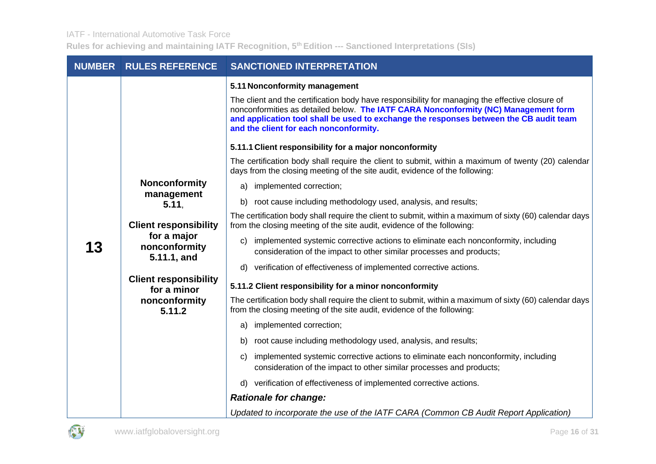| <b>NUMBER</b> | <b>RULES REFERENCE</b>                                                                                                                                                                               | <b>SANCTIONED INTERPRETATION</b>                                                                                                                                                                                                                                                                                                                                                                                                                                                                                                                                                                                                                                                                                                                                                                                                                                                                                                                                                                                                                                                                                                                                                                                                                                                                                                                                                                                                                                                                                                                                                                                                                                                                                                                                                   |  |  |  |  |
|---------------|------------------------------------------------------------------------------------------------------------------------------------------------------------------------------------------------------|------------------------------------------------------------------------------------------------------------------------------------------------------------------------------------------------------------------------------------------------------------------------------------------------------------------------------------------------------------------------------------------------------------------------------------------------------------------------------------------------------------------------------------------------------------------------------------------------------------------------------------------------------------------------------------------------------------------------------------------------------------------------------------------------------------------------------------------------------------------------------------------------------------------------------------------------------------------------------------------------------------------------------------------------------------------------------------------------------------------------------------------------------------------------------------------------------------------------------------------------------------------------------------------------------------------------------------------------------------------------------------------------------------------------------------------------------------------------------------------------------------------------------------------------------------------------------------------------------------------------------------------------------------------------------------------------------------------------------------------------------------------------------------|--|--|--|--|
| 13            | <b>Nonconformity</b><br>management<br>5.11,<br><b>Client responsibility</b><br>for a major<br>nonconformity<br>5.11.1, and<br><b>Client responsibility</b><br>for a minor<br>nonconformity<br>5.11.2 | 5.11 Nonconformity management<br>The client and the certification body have responsibility for managing the effective closure of<br>nonconformities as detailed below. The IATF CARA Nonconformity (NC) Management form<br>and application tool shall be used to exchange the responses between the CB audit team<br>and the client for each nonconformity.<br>5.11.1 Client responsibility for a major nonconformity<br>The certification body shall require the client to submit, within a maximum of twenty (20) calendar<br>days from the closing meeting of the site audit, evidence of the following:<br>a) implemented correction;<br>b) root cause including methodology used, analysis, and results;<br>The certification body shall require the client to submit, within a maximum of sixty (60) calendar days<br>from the closing meeting of the site audit, evidence of the following:<br>implemented systemic corrective actions to eliminate each nonconformity, including<br>C)<br>consideration of the impact to other similar processes and products;<br>verification of effectiveness of implemented corrective actions.<br>d)<br>5.11.2 Client responsibility for a minor nonconformity<br>The certification body shall require the client to submit, within a maximum of sixty (60) calendar days<br>from the closing meeting of the site audit, evidence of the following:<br>implemented correction;<br>a)<br>root cause including methodology used, analysis, and results;<br>b)<br>implemented systemic corrective actions to eliminate each nonconformity, including<br>C)<br>consideration of the impact to other similar processes and products;<br>d) verification of effectiveness of implemented corrective actions.<br><b>Rationale for change:</b> |  |  |  |  |
|               |                                                                                                                                                                                                      | Updated to incorporate the use of the IATF CARA (Common CB Audit Report Application)                                                                                                                                                                                                                                                                                                                                                                                                                                                                                                                                                                                                                                                                                                                                                                                                                                                                                                                                                                                                                                                                                                                                                                                                                                                                                                                                                                                                                                                                                                                                                                                                                                                                                               |  |  |  |  |

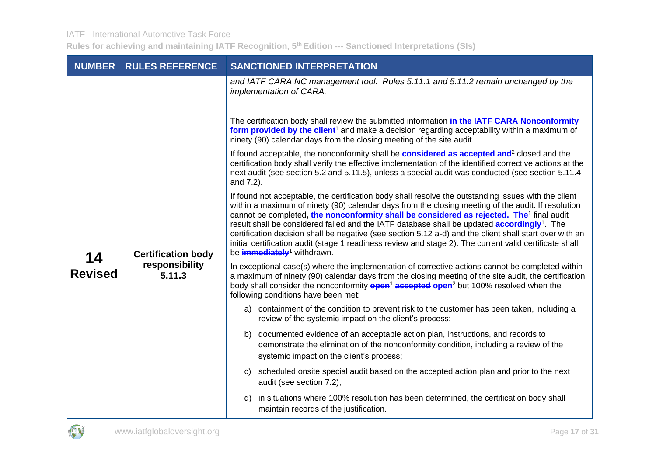|                      | <b>NUMBER RULES REFERENCE</b>                         | <b>SANCTIONED INTERPRETATION</b>                                                                                                                                                                                                                                                                                                                                                                                                                                                                                                                                                                                                                                                                           |  |  |  |  |
|----------------------|-------------------------------------------------------|------------------------------------------------------------------------------------------------------------------------------------------------------------------------------------------------------------------------------------------------------------------------------------------------------------------------------------------------------------------------------------------------------------------------------------------------------------------------------------------------------------------------------------------------------------------------------------------------------------------------------------------------------------------------------------------------------------|--|--|--|--|
|                      |                                                       | and IATF CARA NC management tool. Rules 5.11.1 and 5.11.2 remain unchanged by the<br>implementation of CARA.                                                                                                                                                                                                                                                                                                                                                                                                                                                                                                                                                                                               |  |  |  |  |
| 14<br><b>Revised</b> | <b>Certification body</b><br>responsibility<br>5.11.3 | The certification body shall review the submitted information in the IATF CARA Nonconformity<br>form provided by the client <sup>1</sup> and make a decision regarding acceptability within a maximum of<br>ninety (90) calendar days from the closing meeting of the site audit.                                                                                                                                                                                                                                                                                                                                                                                                                          |  |  |  |  |
|                      |                                                       | If found acceptable, the nonconformity shall be <b>considered as accepted and</b> <sup>2</sup> closed and the<br>certification body shall verify the effective implementation of the identified corrective actions at the<br>next audit (see section 5.2 and 5.11.5), unless a special audit was conducted (see section 5.11.4)<br>and 7.2).                                                                                                                                                                                                                                                                                                                                                               |  |  |  |  |
|                      |                                                       | If found not acceptable, the certification body shall resolve the outstanding issues with the client<br>within a maximum of ninety (90) calendar days from the closing meeting of the audit. If resolution<br>cannot be completed, the nonconformity shall be considered as rejected. The <sup>1</sup> final audit<br>result shall be considered failed and the IATF database shall be updated <b>accordingly</b> <sup>1</sup> . The<br>certification decision shall be negative (see section 5.12 a-d) and the client shall start over with an<br>initial certification audit (stage 1 readiness review and stage 2). The current valid certificate shall<br>be <i>immediately<sup>1</sup></i> withdrawn. |  |  |  |  |
|                      |                                                       | In exceptional case(s) where the implementation of corrective actions cannot be completed within<br>a maximum of ninety (90) calendar days from the closing meeting of the site audit, the certification<br>body shall consider the nonconformity <b>open<sup>1</sup></b> accepted open <sup>2</sup> but 100% resolved when the<br>following conditions have been met:                                                                                                                                                                                                                                                                                                                                     |  |  |  |  |
|                      |                                                       | a) containment of the condition to prevent risk to the customer has been taken, including a<br>review of the systemic impact on the client's process;                                                                                                                                                                                                                                                                                                                                                                                                                                                                                                                                                      |  |  |  |  |
|                      |                                                       | documented evidence of an acceptable action plan, instructions, and records to<br>b)<br>demonstrate the elimination of the nonconformity condition, including a review of the<br>systemic impact on the client's process;                                                                                                                                                                                                                                                                                                                                                                                                                                                                                  |  |  |  |  |
|                      |                                                       | scheduled onsite special audit based on the accepted action plan and prior to the next<br>C)<br>audit (see section 7.2);                                                                                                                                                                                                                                                                                                                                                                                                                                                                                                                                                                                   |  |  |  |  |
|                      |                                                       | in situations where 100% resolution has been determined, the certification body shall<br>d)<br>maintain records of the justification.                                                                                                                                                                                                                                                                                                                                                                                                                                                                                                                                                                      |  |  |  |  |

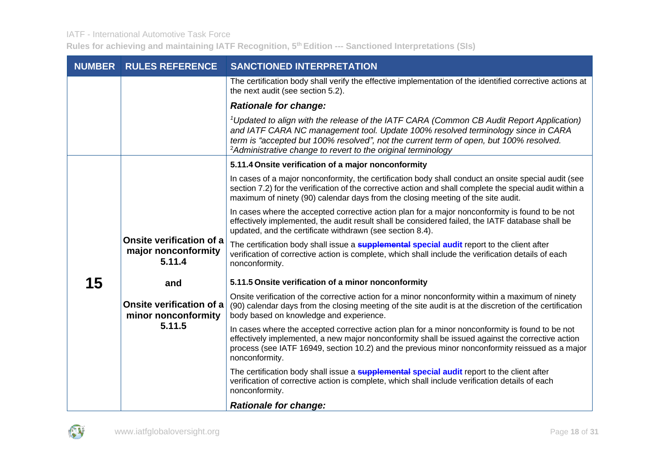| <b>NUMBER</b> | <b>RULES REFERENCE</b>                                           | <b>SANCTIONED INTERPRETATION</b>                                                                                                                                                                                                                                                                                                                               |  |  |  |  |
|---------------|------------------------------------------------------------------|----------------------------------------------------------------------------------------------------------------------------------------------------------------------------------------------------------------------------------------------------------------------------------------------------------------------------------------------------------------|--|--|--|--|
|               |                                                                  | The certification body shall verify the effective implementation of the identified corrective actions at<br>the next audit (see section 5.2).                                                                                                                                                                                                                  |  |  |  |  |
|               |                                                                  | <b>Rationale for change:</b>                                                                                                                                                                                                                                                                                                                                   |  |  |  |  |
|               |                                                                  | <sup>1</sup> Updated to align with the release of the IATF CARA (Common CB Audit Report Application)<br>and IATF CARA NC management tool. Update 100% resolved terminology since in CARA<br>term is "accepted but 100% resolved", not the current term of open, but 100% resolved.<br><sup>2</sup> Administrative change to revert to the original terminology |  |  |  |  |
|               |                                                                  | 5.11.4 Onsite verification of a major nonconformity                                                                                                                                                                                                                                                                                                            |  |  |  |  |
|               |                                                                  | In cases of a major nonconformity, the certification body shall conduct an onsite special audit (see<br>section 7.2) for the verification of the corrective action and shall complete the special audit within a<br>maximum of ninety (90) calendar days from the closing meeting of the site audit.                                                           |  |  |  |  |
|               | <b>Onsite verification of a</b><br>major nonconformity<br>5.11.4 | In cases where the accepted corrective action plan for a major nonconformity is found to be not<br>effectively implemented, the audit result shall be considered failed, the IATF database shall be<br>updated, and the certificate withdrawn (see section 8.4).                                                                                               |  |  |  |  |
| 15            |                                                                  | The certification body shall issue a <b>supplemental special audit</b> report to the client after<br>verification of corrective action is complete, which shall include the verification details of each<br>nonconformity.                                                                                                                                     |  |  |  |  |
|               | and                                                              | 5.11.5 Onsite verification of a minor nonconformity                                                                                                                                                                                                                                                                                                            |  |  |  |  |
|               | Onsite verification of a<br>minor nonconformity                  | Onsite verification of the corrective action for a minor nonconformity within a maximum of ninety<br>(90) calendar days from the closing meeting of the site audit is at the discretion of the certification<br>body based on knowledge and experience.                                                                                                        |  |  |  |  |
|               | 5.11.5                                                           | In cases where the accepted corrective action plan for a minor nonconformity is found to be not<br>effectively implemented, a new major nonconformity shall be issued against the corrective action<br>process (see IATF 16949, section 10.2) and the previous minor nonconformity reissued as a major<br>nonconformity.                                       |  |  |  |  |
|               |                                                                  | The certification body shall issue a supplemental special audit report to the client after<br>verification of corrective action is complete, which shall include verification details of each<br>nonconformity.                                                                                                                                                |  |  |  |  |
|               |                                                                  | <b>Rationale for change:</b>                                                                                                                                                                                                                                                                                                                                   |  |  |  |  |

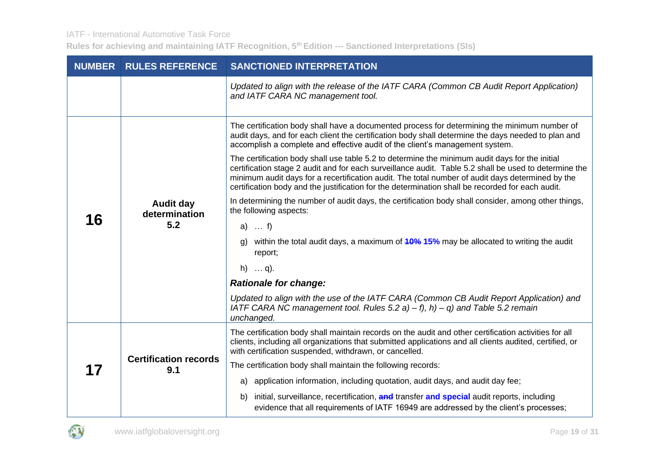| <b>NUMBER</b> | <b>RULES REFERENCE</b>                   | <b>SANCTIONED INTERPRETATION</b>                                                                                                                                                                                                                                                                                                                                                                                                                                                                                                                                                                  |  |  |  |  |
|---------------|------------------------------------------|---------------------------------------------------------------------------------------------------------------------------------------------------------------------------------------------------------------------------------------------------------------------------------------------------------------------------------------------------------------------------------------------------------------------------------------------------------------------------------------------------------------------------------------------------------------------------------------------------|--|--|--|--|
|               |                                          | Updated to align with the release of the IATF CARA (Common CB Audit Report Application)<br>and IATF CARA NC management tool.                                                                                                                                                                                                                                                                                                                                                                                                                                                                      |  |  |  |  |
| 16            | <b>Audit day</b><br>determination<br>5.2 | The certification body shall have a documented process for determining the minimum number of<br>audit days, and for each client the certification body shall determine the days needed to plan and<br>accomplish a complete and effective audit of the client's management system.<br>The certification body shall use table 5.2 to determine the minimum audit days for the initial<br>certification stage 2 audit and for each surveillance audit. Table 5.2 shall be used to determine the<br>minimum audit days for a recertification audit. The total number of audit days determined by the |  |  |  |  |
|               |                                          | certification body and the justification for the determination shall be recorded for each audit.<br>In determining the number of audit days, the certification body shall consider, among other things,<br>the following aspects:                                                                                                                                                                                                                                                                                                                                                                 |  |  |  |  |
|               |                                          | a) $f$ )<br>within the total audit days, a maximum of 40% 15% may be allocated to writing the audit<br>g)<br>report;                                                                                                                                                                                                                                                                                                                                                                                                                                                                              |  |  |  |  |
|               |                                          | $h)$ q).                                                                                                                                                                                                                                                                                                                                                                                                                                                                                                                                                                                          |  |  |  |  |
|               |                                          | <b>Rationale for change:</b>                                                                                                                                                                                                                                                                                                                                                                                                                                                                                                                                                                      |  |  |  |  |
|               |                                          | Updated to align with the use of the IATF CARA (Common CB Audit Report Application) and<br>IATF CARA NC management tool. Rules $5.2$ a) - f), h) - q) and Table 5.2 remain<br>unchanged.                                                                                                                                                                                                                                                                                                                                                                                                          |  |  |  |  |
|               |                                          | The certification body shall maintain records on the audit and other certification activities for all<br>clients, including all organizations that submitted applications and all clients audited, certified, or<br>with certification suspended, withdrawn, or cancelled.                                                                                                                                                                                                                                                                                                                        |  |  |  |  |
| 17            | <b>Certification records</b><br>9.1      | The certification body shall maintain the following records:                                                                                                                                                                                                                                                                                                                                                                                                                                                                                                                                      |  |  |  |  |
|               |                                          | application information, including quotation, audit days, and audit day fee;<br>a)                                                                                                                                                                                                                                                                                                                                                                                                                                                                                                                |  |  |  |  |
|               |                                          | initial, surveillance, recertification, and transfer and special audit reports, including<br>b)<br>evidence that all requirements of IATF 16949 are addressed by the client's processes;                                                                                                                                                                                                                                                                                                                                                                                                          |  |  |  |  |

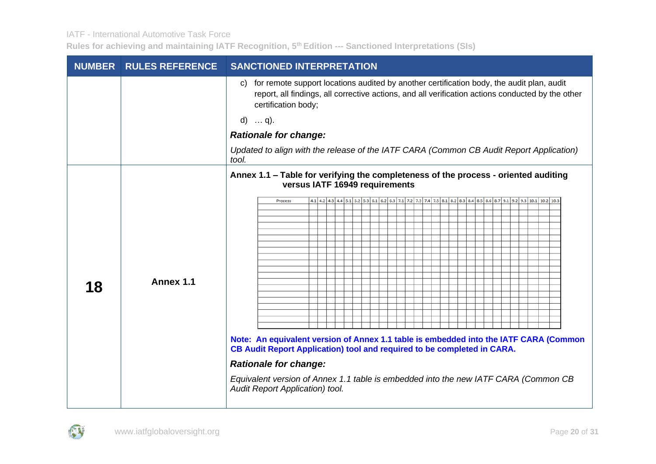|    |           | NUMBER  RULES REFERENCE  SANCTIONED INTERPRETATION                                                                                                                                                                                                                                                                                                                                                                                                                                                                                                                                                                                                                                                                                                                                                                                                                                                     |  |  |  |  |
|----|-----------|--------------------------------------------------------------------------------------------------------------------------------------------------------------------------------------------------------------------------------------------------------------------------------------------------------------------------------------------------------------------------------------------------------------------------------------------------------------------------------------------------------------------------------------------------------------------------------------------------------------------------------------------------------------------------------------------------------------------------------------------------------------------------------------------------------------------------------------------------------------------------------------------------------|--|--|--|--|
|    |           | for remote support locations audited by another certification body, the audit plan, audit<br>C)<br>report, all findings, all corrective actions, and all verification actions conducted by the other<br>certification body;<br>$d)$ q).<br><b>Rationale for change:</b>                                                                                                                                                                                                                                                                                                                                                                                                                                                                                                                                                                                                                                |  |  |  |  |
|    |           | Updated to align with the release of the IATF CARA (Common CB Audit Report Application)<br>tool.                                                                                                                                                                                                                                                                                                                                                                                                                                                                                                                                                                                                                                                                                                                                                                                                       |  |  |  |  |
| 18 | Annex 1.1 | Annex 1.1 - Table for verifying the completeness of the process - oriented auditing<br>versus IATF 16949 requirements<br>$4.1 \begin{bmatrix} 4.2 \end{bmatrix} 4.3 \begin{bmatrix} 4.4 \end{bmatrix} 5.1 \begin{bmatrix} 5.1 \end{bmatrix} 5.2 \begin{bmatrix} 5.3 \end{bmatrix} 5.1 \begin{bmatrix} 6.2 \end{bmatrix} 6.2 \begin{bmatrix} 6.3 \end{bmatrix} 7.1 \begin{bmatrix} 7.2 \end{bmatrix} 7.3 \begin{bmatrix} 7.4 \end{bmatrix} 7.5 \begin{bmatrix} 8.1 \end{bmatrix} 8.2 \begin{bmatrix} 8.3 \end{bmatrix} 8.4 \begin{bmatrix} 8.4 \end{bmatrix} $<br>Process<br>Note: An equivalent version of Annex 1.1 table is embedded into the IATF CARA (Common<br>CB Audit Report Application) tool and required to be completed in CARA.<br><b>Rationale for change:</b><br>Equivalent version of Annex 1.1 table is embedded into the new IATF CARA (Common CB<br>Audit Report Application) tool. |  |  |  |  |

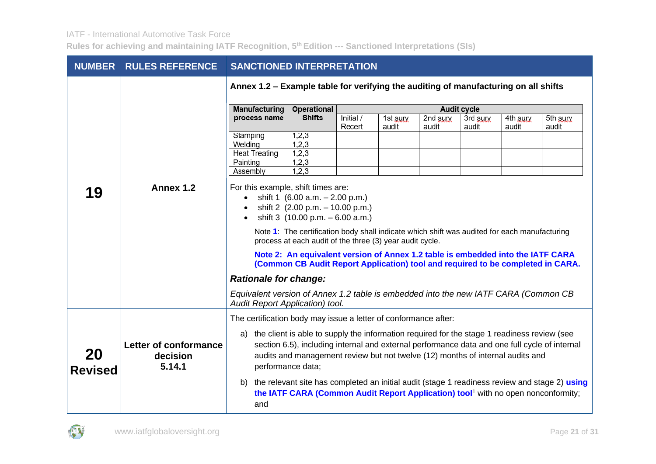| <b>NUMBER</b>        | <b>RULES REFERENCE</b>                      | <b>SANCTIONED INTERPRETATION</b>                                                                                                                                                                                                                                                                          |                                                                                                                                                                                                                                                                                                                                                                                                                                                                                 |                                                                                                                                                                                                   |                   |                   |                   |                   |                   |
|----------------------|---------------------------------------------|-----------------------------------------------------------------------------------------------------------------------------------------------------------------------------------------------------------------------------------------------------------------------------------------------------------|---------------------------------------------------------------------------------------------------------------------------------------------------------------------------------------------------------------------------------------------------------------------------------------------------------------------------------------------------------------------------------------------------------------------------------------------------------------------------------|---------------------------------------------------------------------------------------------------------------------------------------------------------------------------------------------------|-------------------|-------------------|-------------------|-------------------|-------------------|
|                      |                                             | Annex 1.2 - Example table for verifying the auditing of manufacturing on all shifts                                                                                                                                                                                                                       |                                                                                                                                                                                                                                                                                                                                                                                                                                                                                 |                                                                                                                                                                                                   |                   |                   |                   |                   |                   |
|                      |                                             | Manufacturing                                                                                                                                                                                                                                                                                             | <b>Operational</b>                                                                                                                                                                                                                                                                                                                                                                                                                                                              |                                                                                                                                                                                                   |                   |                   | Audit cycle       |                   |                   |
|                      |                                             | process name                                                                                                                                                                                                                                                                                              | <b>Shifts</b>                                                                                                                                                                                                                                                                                                                                                                                                                                                                   | Initial /<br>Recert                                                                                                                                                                               | 1st surv<br>audit | 2nd surv<br>audit | 3rd surv<br>audit | 4th surv<br>audit | 5th surv<br>audit |
|                      |                                             | Stamping                                                                                                                                                                                                                                                                                                  | 1,2,3                                                                                                                                                                                                                                                                                                                                                                                                                                                                           |                                                                                                                                                                                                   |                   |                   |                   |                   |                   |
|                      |                                             | Welding                                                                                                                                                                                                                                                                                                   | 1,2,3                                                                                                                                                                                                                                                                                                                                                                                                                                                                           |                                                                                                                                                                                                   |                   |                   |                   |                   |                   |
|                      |                                             | <b>Heat Treating</b>                                                                                                                                                                                                                                                                                      | 1,2,3                                                                                                                                                                                                                                                                                                                                                                                                                                                                           |                                                                                                                                                                                                   |                   |                   |                   |                   |                   |
|                      |                                             | Painting                                                                                                                                                                                                                                                                                                  | 1,2,3                                                                                                                                                                                                                                                                                                                                                                                                                                                                           |                                                                                                                                                                                                   |                   |                   |                   |                   |                   |
|                      |                                             | Assembly                                                                                                                                                                                                                                                                                                  | 1,2,3                                                                                                                                                                                                                                                                                                                                                                                                                                                                           |                                                                                                                                                                                                   |                   |                   |                   |                   |                   |
| 19                   | Annex 1.2                                   | For this example, shift times are:<br>$\bullet$<br>$\bullet$<br><b>Rationale for change:</b><br>Equivalent version of Annex 1.2 table is embedded into the new IATF CARA (Common CB<br>Audit Report Application) tool.                                                                                    | shift 1 $(6.00 a.m. - 2.00 p.m.)$<br>shift 2 $(2.00 \text{ p.m.} - 10.00 \text{ p.m.})$<br>shift 3 $(10.00 \text{ p.m.} - 6.00 \text{ a.m.})$<br>Note 1: The certification body shall indicate which shift was audited for each manufacturing<br>process at each audit of the three (3) year audit cycle.<br>Note 2: An equivalent version of Annex 1.2 table is embedded into the IATF CARA<br>(Common CB Audit Report Application) tool and required to be completed in CARA. |                                                                                                                                                                                                   |                   |                   |                   |                   |                   |
|                      |                                             | The certification body may issue a letter of conformance after:                                                                                                                                                                                                                                           |                                                                                                                                                                                                                                                                                                                                                                                                                                                                                 |                                                                                                                                                                                                   |                   |                   |                   |                   |                   |
| 20<br><b>Revised</b> | Letter of conformance<br>decision<br>5.14.1 | the client is able to supply the information required for the stage 1 readiness review (see<br>a)<br>section 6.5), including internal and external performance data and one full cycle of internal<br>audits and management review but not twelve (12) months of internal audits and<br>performance data; |                                                                                                                                                                                                                                                                                                                                                                                                                                                                                 |                                                                                                                                                                                                   |                   |                   |                   |                   |                   |
|                      |                                             | and                                                                                                                                                                                                                                                                                                       |                                                                                                                                                                                                                                                                                                                                                                                                                                                                                 | b) the relevant site has completed an initial audit (stage 1 readiness review and stage 2) using<br>the IATF CARA (Common Audit Report Application) tool <sup>1</sup> with no open nonconformity; |                   |                   |                   |                   |                   |

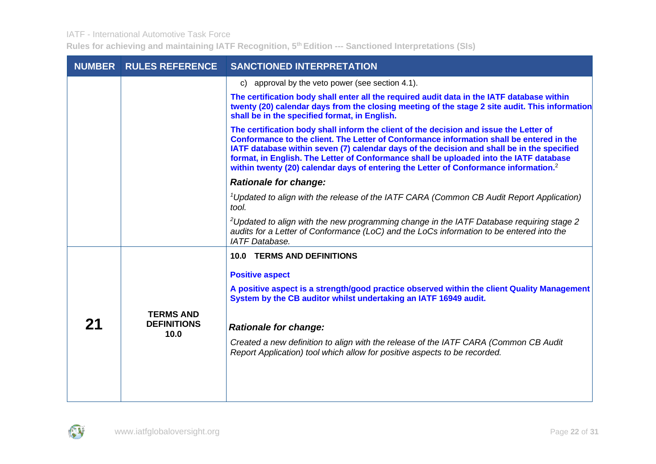|    | NUMBER RULES REFERENCE     | <b>SANCTIONED INTERPRETATION</b>                                                                                                                                                                                                                                                                                                                                                                                                                                               |
|----|----------------------------|--------------------------------------------------------------------------------------------------------------------------------------------------------------------------------------------------------------------------------------------------------------------------------------------------------------------------------------------------------------------------------------------------------------------------------------------------------------------------------|
|    |                            | c) approval by the veto power (see section 4.1).                                                                                                                                                                                                                                                                                                                                                                                                                               |
|    |                            | The certification body shall enter all the required audit data in the IATF database within<br>twenty (20) calendar days from the closing meeting of the stage 2 site audit. This information<br>shall be in the specified format, in English.                                                                                                                                                                                                                                  |
|    |                            | The certification body shall inform the client of the decision and issue the Letter of<br>Conformance to the client. The Letter of Conformance information shall be entered in the<br>IATF database within seven (7) calendar days of the decision and shall be in the specified<br>format, in English. The Letter of Conformance shall be uploaded into the IATF database<br>within twenty (20) calendar days of entering the Letter of Conformance information. <sup>2</sup> |
|    |                            | <b>Rationale for change:</b>                                                                                                                                                                                                                                                                                                                                                                                                                                                   |
|    |                            | <sup>1</sup> Updated to align with the release of the IATF CARA (Common CB Audit Report Application)<br>tool.                                                                                                                                                                                                                                                                                                                                                                  |
|    |                            | <sup>2</sup> Updated to align with the new programming change in the IATF Database requiring stage 2<br>audits for a Letter of Conformance (LoC) and the LoCs information to be entered into the<br><b>IATF</b> Database.                                                                                                                                                                                                                                                      |
|    |                            | 10.0 TERMS AND DEFINITIONS                                                                                                                                                                                                                                                                                                                                                                                                                                                     |
|    |                            | <b>Positive aspect</b>                                                                                                                                                                                                                                                                                                                                                                                                                                                         |
|    | <b>TERMS AND</b>           | A positive aspect is a strength/good practice observed within the client Quality Management<br>System by the CB auditor whilst undertaking an IATF 16949 audit.                                                                                                                                                                                                                                                                                                                |
|    |                            |                                                                                                                                                                                                                                                                                                                                                                                                                                                                                |
| 21 | <b>DEFINITIONS</b><br>10.0 | <b>Rationale for change:</b>                                                                                                                                                                                                                                                                                                                                                                                                                                                   |
|    |                            | Created a new definition to align with the release of the IATF CARA (Common CB Audit<br>Report Application) tool which allow for positive aspects to be recorded.                                                                                                                                                                                                                                                                                                              |
|    |                            |                                                                                                                                                                                                                                                                                                                                                                                                                                                                                |
|    |                            |                                                                                                                                                                                                                                                                                                                                                                                                                                                                                |
|    |                            |                                                                                                                                                                                                                                                                                                                                                                                                                                                                                |

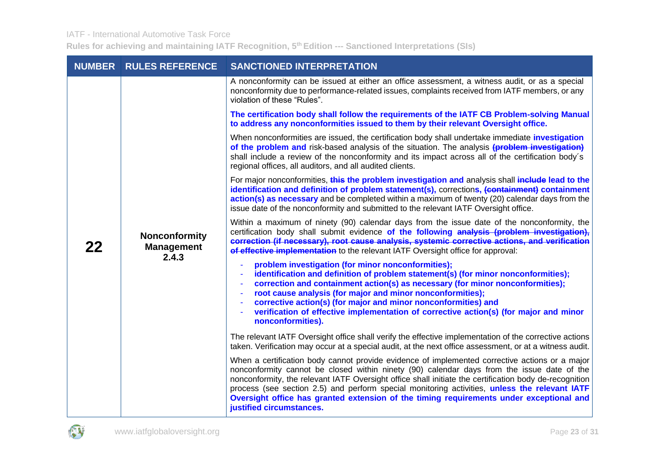|    | <b>NUMBER RULES REFERENCE</b>                      | <b>SANCTIONED INTERPRETATION</b>                                                                                                                                                                                                                                                                                                                                                                                                                                                                                                         |  |  |  |  |
|----|----------------------------------------------------|------------------------------------------------------------------------------------------------------------------------------------------------------------------------------------------------------------------------------------------------------------------------------------------------------------------------------------------------------------------------------------------------------------------------------------------------------------------------------------------------------------------------------------------|--|--|--|--|
| 22 | <b>Nonconformity</b><br><b>Management</b><br>2.4.3 | A nonconformity can be issued at either an office assessment, a witness audit, or as a special<br>nonconformity due to performance-related issues, complaints received from IATF members, or any<br>violation of these "Rules".                                                                                                                                                                                                                                                                                                          |  |  |  |  |
|    |                                                    | The certification body shall follow the requirements of the IATF CB Problem-solving Manual<br>to address any nonconformities issued to them by their relevant Oversight office.                                                                                                                                                                                                                                                                                                                                                          |  |  |  |  |
|    |                                                    | When nonconformities are issued, the certification body shall undertake immediate investigation<br>of the problem and risk-based analysis of the situation. The analysis (problem investigation)<br>shall include a review of the nonconformity and its impact across all of the certification body's<br>regional offices, all auditors, and all audited clients.                                                                                                                                                                        |  |  |  |  |
|    |                                                    | For major nonconformities, this the problem investigation and analysis shall include lead to the<br>identification and definition of problem statement(s), corrections, (containment) containment<br>action(s) as necessary and be completed within a maximum of twenty (20) calendar days from the<br>issue date of the nonconformity and submitted to the relevant IATF Oversight office.                                                                                                                                              |  |  |  |  |
|    |                                                    | Within a maximum of ninety (90) calendar days from the issue date of the nonconformity, the<br>certification body shall submit evidence of the following analysis (problem investigation),<br>correction (if necessary), root cause analysis, systemic corrective actions, and verification<br>of effective implementation to the relevant IATF Oversight office for approval:                                                                                                                                                           |  |  |  |  |
|    |                                                    | problem investigation (for minor nonconformities);<br>÷<br>identification and definition of problem statement(s) (for minor nonconformities);<br>$\blacksquare$<br>correction and containment action(s) as necessary (for minor nonconformities);<br>$\blacksquare$<br>root cause analysis (for major and minor nonconformities);<br>$\blacksquare$<br>corrective action(s) (for major and minor nonconformities) and<br>verification of effective implementation of corrective action(s) (for major and minor<br>÷<br>nonconformities). |  |  |  |  |
|    |                                                    | The relevant IATF Oversight office shall verify the effective implementation of the corrective actions<br>taken. Verification may occur at a special audit, at the next office assessment, or at a witness audit.                                                                                                                                                                                                                                                                                                                        |  |  |  |  |
|    |                                                    | When a certification body cannot provide evidence of implemented corrective actions or a major<br>nonconformity cannot be closed within ninety (90) calendar days from the issue date of the<br>nonconformity, the relevant IATF Oversight office shall initiate the certification body de-recognition<br>process (see section 2.5) and perform special monitoring activities, unless the relevant IATF<br>Oversight office has granted extension of the timing requirements under exceptional and<br>justified circumstances.           |  |  |  |  |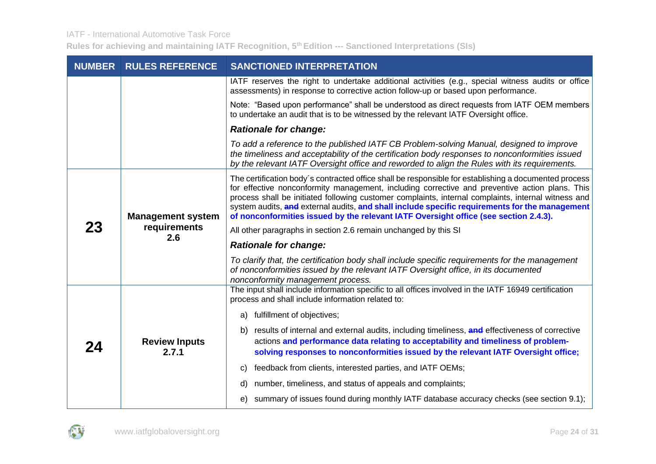|    | <b>NUMBER RULES REFERENCE</b>                   | <b>SANCTIONED INTERPRETATION</b>                                                                                                                                                                                                                                                                                                                                                                                                                                                                         |  |  |  |  |
|----|-------------------------------------------------|----------------------------------------------------------------------------------------------------------------------------------------------------------------------------------------------------------------------------------------------------------------------------------------------------------------------------------------------------------------------------------------------------------------------------------------------------------------------------------------------------------|--|--|--|--|
|    |                                                 | IATF reserves the right to undertake additional activities (e.g., special witness audits or office<br>assessments) in response to corrective action follow-up or based upon performance.                                                                                                                                                                                                                                                                                                                 |  |  |  |  |
|    |                                                 | Note: "Based upon performance" shall be understood as direct requests from IATF OEM members<br>to undertake an audit that is to be witnessed by the relevant IATF Oversight office.                                                                                                                                                                                                                                                                                                                      |  |  |  |  |
|    |                                                 | <b>Rationale for change:</b>                                                                                                                                                                                                                                                                                                                                                                                                                                                                             |  |  |  |  |
|    |                                                 | To add a reference to the published IATF CB Problem-solving Manual, designed to improve<br>the timeliness and acceptability of the certification body responses to nonconformities issued<br>by the relevant IATF Oversight office and reworded to align the Rules with its requirements.                                                                                                                                                                                                                |  |  |  |  |
|    | <b>Management system</b><br>requirements<br>2.6 | The certification body's contracted office shall be responsible for establishing a documented process<br>for effective nonconformity management, including corrective and preventive action plans. This<br>process shall be initiated following customer complaints, internal complaints, internal witness and<br>system audits, and external audits, and shall include specific requirements for the management<br>of nonconformities issued by the relevant IATF Oversight office (see section 2.4.3). |  |  |  |  |
| 23 |                                                 | All other paragraphs in section 2.6 remain unchanged by this SI                                                                                                                                                                                                                                                                                                                                                                                                                                          |  |  |  |  |
|    |                                                 | <b>Rationale for change:</b>                                                                                                                                                                                                                                                                                                                                                                                                                                                                             |  |  |  |  |
|    |                                                 | To clarify that, the certification body shall include specific requirements for the management<br>of nonconformities issued by the relevant IATF Oversight office, in its documented<br>nonconformity management process.                                                                                                                                                                                                                                                                                |  |  |  |  |
|    |                                                 | The input shall include information specific to all offices involved in the IATF 16949 certification<br>process and shall include information related to:                                                                                                                                                                                                                                                                                                                                                |  |  |  |  |
|    |                                                 | a) fulfillment of objectives;                                                                                                                                                                                                                                                                                                                                                                                                                                                                            |  |  |  |  |
| 24 | <b>Review Inputs</b><br>2.7.1                   | b) results of internal and external audits, including timeliness, and effectiveness of corrective<br>actions and performance data relating to acceptability and timeliness of problem-<br>solving responses to nonconformities issued by the relevant IATF Oversight office;                                                                                                                                                                                                                             |  |  |  |  |
|    |                                                 | feedback from clients, interested parties, and IATF OEMs;<br>C)                                                                                                                                                                                                                                                                                                                                                                                                                                          |  |  |  |  |
|    |                                                 | number, timeliness, and status of appeals and complaints;<br>d)                                                                                                                                                                                                                                                                                                                                                                                                                                          |  |  |  |  |
|    |                                                 | summary of issues found during monthly IATF database accuracy checks (see section 9.1);<br>e)                                                                                                                                                                                                                                                                                                                                                                                                            |  |  |  |  |

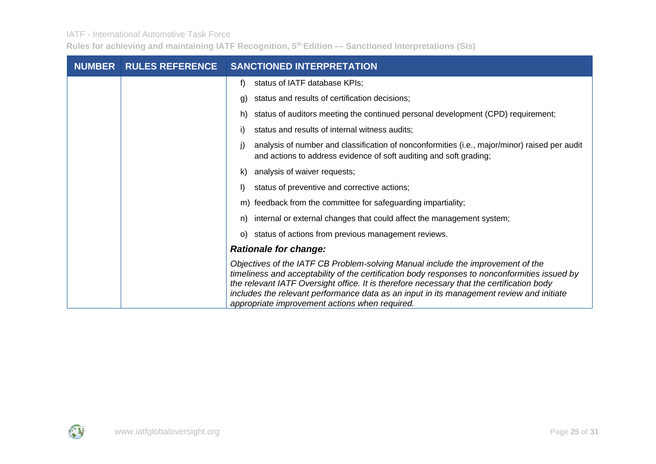| <b>NUMBER</b> | <b>RULES REFERENCE</b> | <b>SANCTIONED INTERPRETATION</b>                                                                                                                                                                                                                                                                                                                                                                                            |
|---------------|------------------------|-----------------------------------------------------------------------------------------------------------------------------------------------------------------------------------------------------------------------------------------------------------------------------------------------------------------------------------------------------------------------------------------------------------------------------|
|               |                        | status of IATF database KPIs;<br>f)                                                                                                                                                                                                                                                                                                                                                                                         |
|               |                        | status and results of certification decisions;<br>g)                                                                                                                                                                                                                                                                                                                                                                        |
|               |                        | status of auditors meeting the continued personal development (CPD) requirement;<br>h)                                                                                                                                                                                                                                                                                                                                      |
|               |                        | status and results of internal witness audits;<br>i)                                                                                                                                                                                                                                                                                                                                                                        |
|               |                        | analysis of number and classification of nonconformities (i.e., major/minor) raised per audit<br>$\mathbf{I}$<br>and actions to address evidence of soft auditing and soft grading;                                                                                                                                                                                                                                         |
|               |                        | analysis of waiver requests;<br>k)                                                                                                                                                                                                                                                                                                                                                                                          |
|               |                        | status of preventive and corrective actions;<br>$\mathbf{D}$                                                                                                                                                                                                                                                                                                                                                                |
|               |                        | m) feedback from the committee for safeguarding impartiality;                                                                                                                                                                                                                                                                                                                                                               |
|               |                        | internal or external changes that could affect the management system;<br>n)                                                                                                                                                                                                                                                                                                                                                 |
|               |                        | status of actions from previous management reviews.<br>$\circ$                                                                                                                                                                                                                                                                                                                                                              |
|               |                        | <b>Rationale for change:</b>                                                                                                                                                                                                                                                                                                                                                                                                |
|               |                        | Objectives of the IATF CB Problem-solving Manual include the improvement of the<br>timeliness and acceptability of the certification body responses to nonconformities issued by<br>the relevant IATF Oversight office. It is therefore necessary that the certification body<br>includes the relevant performance data as an input in its management review and initiate<br>appropriate improvement actions when required. |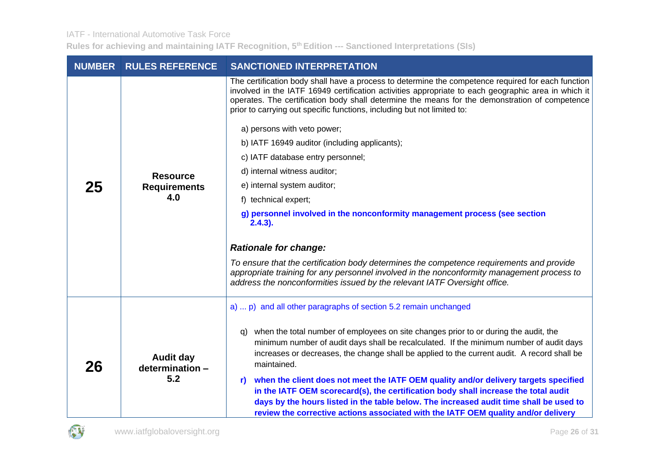| <b>NUMBER</b> | <b>RULES REFERENCE</b>                        | <b>SANCTIONED INTERPRETATION</b>                                                                                                                                                                                                                                                                                                                                                                                                                                                                                                                                                                                                                                                                                                                                                                                                                                                                                                                                                                      |  |  |  |  |
|---------------|-----------------------------------------------|-------------------------------------------------------------------------------------------------------------------------------------------------------------------------------------------------------------------------------------------------------------------------------------------------------------------------------------------------------------------------------------------------------------------------------------------------------------------------------------------------------------------------------------------------------------------------------------------------------------------------------------------------------------------------------------------------------------------------------------------------------------------------------------------------------------------------------------------------------------------------------------------------------------------------------------------------------------------------------------------------------|--|--|--|--|
| 25            | <b>Resource</b><br><b>Requirements</b><br>4.0 | The certification body shall have a process to determine the competence required for each function<br>involved in the IATF 16949 certification activities appropriate to each geographic area in which it<br>operates. The certification body shall determine the means for the demonstration of competence<br>prior to carrying out specific functions, including but not limited to:<br>a) persons with veto power;<br>b) IATF 16949 auditor (including applicants);<br>c) IATF database entry personnel;<br>d) internal witness auditor;<br>e) internal system auditor;<br>f) technical expert;<br>g) personnel involved in the nonconformity management process (see section<br>$2.4.3$ ).<br><b>Rationale for change:</b><br>To ensure that the certification body determines the competence requirements and provide<br>appropriate training for any personnel involved in the nonconformity management process to<br>address the nonconformities issued by the relevant IATF Oversight office. |  |  |  |  |
| 26            | <b>Audit day</b><br>determination -<br>5.2    | a)  p) and all other paragraphs of section 5.2 remain unchanged<br>when the total number of employees on site changes prior to or during the audit, the<br>g)<br>minimum number of audit days shall be recalculated. If the minimum number of audit days<br>increases or decreases, the change shall be applied to the current audit. A record shall be<br>maintained.<br>when the client does not meet the IATF OEM quality and/or delivery targets specified<br>r)<br>in the IATF OEM scorecard(s), the certification body shall increase the total audit<br>days by the hours listed in the table below. The increased audit time shall be used to<br>review the corrective actions associated with the IATF OEM quality and/or delivery                                                                                                                                                                                                                                                           |  |  |  |  |

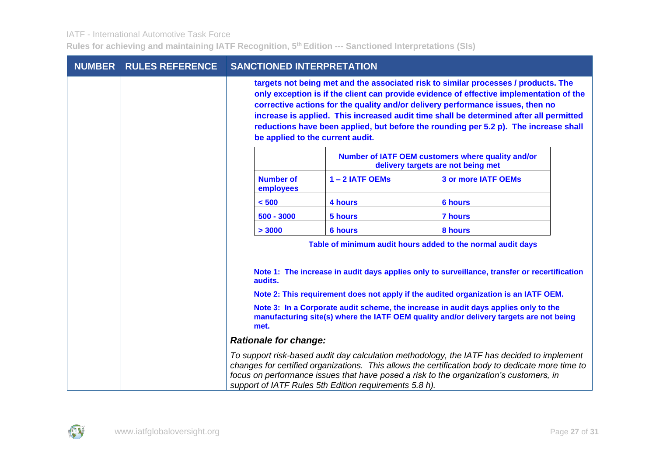| <b>NUMBER</b> | <b>RULES REFERENCE</b> | <b>SANCTIONED INTERPRETATION</b>                                                                                                                                                                                                                                                                                                                                                                                                                                                      |                |                                                             |  |
|---------------|------------------------|---------------------------------------------------------------------------------------------------------------------------------------------------------------------------------------------------------------------------------------------------------------------------------------------------------------------------------------------------------------------------------------------------------------------------------------------------------------------------------------|----------------|-------------------------------------------------------------|--|
|               |                        | targets not being met and the associated risk to similar processes / products. The<br>only exception is if the client can provide evidence of effective implementation of the<br>corrective actions for the quality and/or delivery performance issues, then no<br>increase is applied. This increased audit time shall be determined after all permitted<br>reductions have been applied, but before the rounding per 5.2 p). The increase shall<br>be applied to the current audit. |                |                                                             |  |
|               |                        | Number of IATF OEM customers where quality and/or<br>delivery targets are not being met                                                                                                                                                                                                                                                                                                                                                                                               |                |                                                             |  |
|               |                        | <b>Number of</b><br>employees                                                                                                                                                                                                                                                                                                                                                                                                                                                         | 1-2 IATF OEMs  | <b>3 or more IATF OEMs</b>                                  |  |
|               |                        | < 500                                                                                                                                                                                                                                                                                                                                                                                                                                                                                 | 4 hours        | <b>6 hours</b>                                              |  |
|               |                        | $500 - 3000$                                                                                                                                                                                                                                                                                                                                                                                                                                                                          | 5 hours        | <b>7 hours</b>                                              |  |
|               |                        | > 3000                                                                                                                                                                                                                                                                                                                                                                                                                                                                                | <b>6 hours</b> | 8 hours                                                     |  |
|               |                        |                                                                                                                                                                                                                                                                                                                                                                                                                                                                                       |                | Table of minimum audit hours added to the normal audit days |  |
|               |                        | Note 1: The increase in audit days applies only to surveillance, transfer or recertification<br>audits.<br>Note 2: This requirement does not apply if the audited organization is an IATF OEM.<br>Note 3: In a Corporate audit scheme, the increase in audit days applies only to the<br>manufacturing site(s) where the IATF OEM quality and/or delivery targets are not being                                                                                                       |                |                                                             |  |
|               |                        | met.                                                                                                                                                                                                                                                                                                                                                                                                                                                                                  |                |                                                             |  |
|               |                        | <b>Rationale for change:</b>                                                                                                                                                                                                                                                                                                                                                                                                                                                          |                |                                                             |  |
|               |                        | To support risk-based audit day calculation methodology, the IATF has decided to implement<br>changes for certified organizations. This allows the certification body to dedicate more time to<br>focus on performance issues that have posed a risk to the organization's customers, in<br>support of IATF Rules 5th Edition requirements 5.8 h).                                                                                                                                    |                |                                                             |  |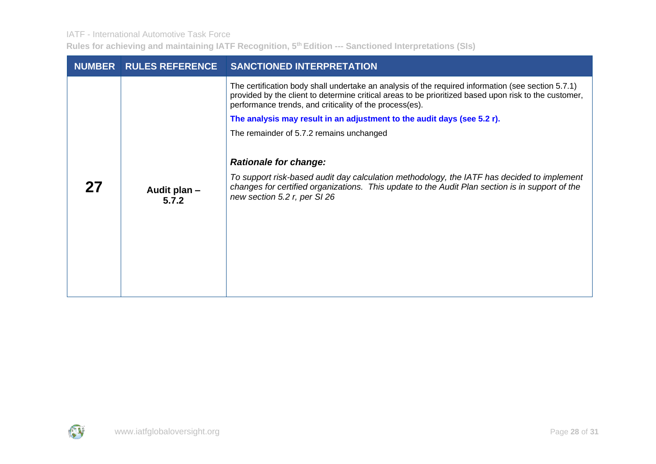| <b>NUMBER</b>                | <b>RULES REFERENCE</b> | <b>SANCTIONED INTERPRETATION</b>                                                                                                                                                                                                                                       |
|------------------------------|------------------------|------------------------------------------------------------------------------------------------------------------------------------------------------------------------------------------------------------------------------------------------------------------------|
|                              |                        | The certification body shall undertake an analysis of the required information (see section 5.7.1)<br>provided by the client to determine critical areas to be prioritized based upon risk to the customer,<br>performance trends, and criticality of the process(es). |
|                              |                        | The analysis may result in an adjustment to the audit days (see 5.2 r).                                                                                                                                                                                                |
|                              |                        | The remainder of 5.7.2 remains unchanged                                                                                                                                                                                                                               |
| <b>Rationale for change:</b> |                        |                                                                                                                                                                                                                                                                        |
| 27                           | Audit plan –<br>5.7.2  | To support risk-based audit day calculation methodology, the IATF has decided to implement<br>changes for certified organizations. This update to the Audit Plan section is in support of the<br>new section 5.2 r, per SI 26                                          |

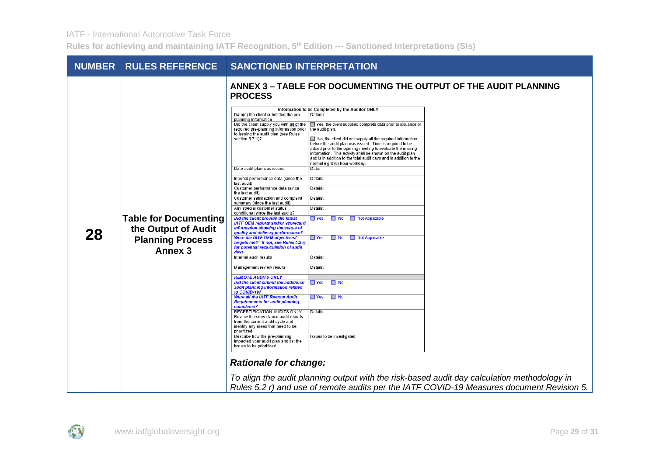| <b>NUMBER</b> | <b>RULES REFERENCE</b>                                                                               | <b>SANCTIONED INTERPRETATION</b>                                                                                                                                                                                                                                                                                                                                                                                                                                                                                                                                                                                                                                                                                                                                                                                                                                                                                                                                                                                                                                                                                                                                                                                                                                                                                                                                                                                                                                                                                                                                                                                                                                                                                                                                                                                                                                                                                                                                                                                                                                                                                                                                                                                                                                                                                                                                                                                                                                                         |
|---------------|------------------------------------------------------------------------------------------------------|------------------------------------------------------------------------------------------------------------------------------------------------------------------------------------------------------------------------------------------------------------------------------------------------------------------------------------------------------------------------------------------------------------------------------------------------------------------------------------------------------------------------------------------------------------------------------------------------------------------------------------------------------------------------------------------------------------------------------------------------------------------------------------------------------------------------------------------------------------------------------------------------------------------------------------------------------------------------------------------------------------------------------------------------------------------------------------------------------------------------------------------------------------------------------------------------------------------------------------------------------------------------------------------------------------------------------------------------------------------------------------------------------------------------------------------------------------------------------------------------------------------------------------------------------------------------------------------------------------------------------------------------------------------------------------------------------------------------------------------------------------------------------------------------------------------------------------------------------------------------------------------------------------------------------------------------------------------------------------------------------------------------------------------------------------------------------------------------------------------------------------------------------------------------------------------------------------------------------------------------------------------------------------------------------------------------------------------------------------------------------------------------------------------------------------------------------------------------------------------|
| 28            | <b>Table for Documenting</b><br>the Output of Audit<br><b>Planning Process</b><br>Annex <sub>3</sub> | <b>ANNEX 3 - TABLE FOR DOCUMENTING THE OUTPUT OF THE AUDIT PLANNING</b><br><b>PROCESS</b><br>Information to be Completed by the Auditor ONLY<br>Date(s) the client submitted the pre-<br>Date(s)<br>planning information<br>Did the client supply you with all of the<br>□ Yes, the client supplied complete data prior to issuance of<br>required pre-planning information prior<br>the audit plan.<br>to issuing the audit plan (see Rules<br>section 5.7.1)?<br>No, the client did not supply all the required information<br>before the audit plan was issued. Time is required to be<br>added prior to the opening meeting to evaluate the missing<br>information. This activity shall be shown on the audit plan<br>and is in addition to the total audit days and in addition to the<br>normal eight (8) hour workday<br>Date audit plan was issued<br>Date:<br>Internal performance data (since the<br>Details<br>last audit)<br>Customer performance data (since<br>Details:<br>the last audit)<br>Customer satisfaction and complaint<br>Details:<br>summary (since the last audit),<br>Any special customer status<br>Details:<br>conditions (since the last audit)?<br>Did the client provide the latest<br>$\Box$ Yes<br>$\square$ No<br>Not Applicable<br><b>IATF OEM reports and/or scorecard</b><br>information showing the status of<br>quality and delivery performance?<br>Were the IATF OEM objectives/<br>Not Applicable<br>$\square$ Yes<br>$\Box$ No<br>targets met? If not, see Rules 5.2 r)<br>for potential recalculation of audit<br>days<br>Internal audit results<br>Details:<br>Management review results<br>Details:<br><b>REMOTE AUDITS ONLY</b><br>Did the client submit the additional<br>$\Box$ Yes<br>$\square$ No<br>audit planning information related<br>to COVID-19?<br><b>Were all the IATF Remote Audit</b><br>$\Box$ Yes<br>$\Box$ No<br><b>Requirements for audit planning</b><br>completed?<br>RECERTIFICATION AUDITS ONLY.<br>Details:<br>Review the surveillance audit reports<br>from the current audit cycle and<br>identify any areas that need to be<br>prioritized.<br>Describe how the pre-planning<br>Issues to be investigated:<br>impacted your audit plan and list the<br>issues to be prioritized.<br><b>Rationale for change:</b><br>To align the audit planning output with the risk-based audit day calculation methodology in<br>Rules 5.2 r) and use of remote audits per the IATF COVID-19 Measures document Revision 5. |

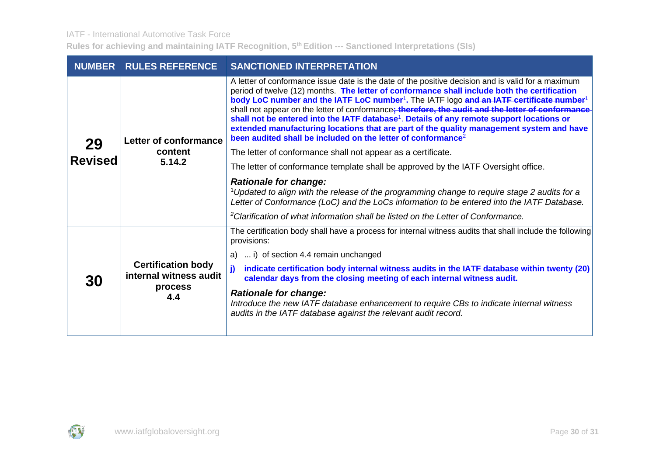IATF - International Automotive Task Force

| <b>NUMBER</b>        | <b>RULES REFERENCE</b>                                                | <b>SANCTIONED INTERPRETATION</b>                                                                                                                                                                                                                                                                                                                                                                                                                                                                                                                                                                                                                                                                             |  |
|----------------------|-----------------------------------------------------------------------|--------------------------------------------------------------------------------------------------------------------------------------------------------------------------------------------------------------------------------------------------------------------------------------------------------------------------------------------------------------------------------------------------------------------------------------------------------------------------------------------------------------------------------------------------------------------------------------------------------------------------------------------------------------------------------------------------------------|--|
| 29<br><b>Revised</b> | Letter of conformance<br>content<br>5.14.2                            | A letter of conformance issue date is the date of the positive decision and is valid for a maximum<br>period of twelve (12) months. The letter of conformance shall include both the certification<br>body LoC number and the IATF LoC number <sup>1</sup> . The IATF logo and an IATF certificate number <sup>1</sup><br>shall not appear on the letter of conformance; therefore, the audit and the letter of conformance<br>shall not be entered into the IATF database <sup>1</sup> . Details of any remote support locations or<br>extended manufacturing locations that are part of the quality management system and have<br>been audited shall be included on the letter of conformance <sup>2</sup> |  |
|                      |                                                                       | The letter of conformance shall not appear as a certificate.                                                                                                                                                                                                                                                                                                                                                                                                                                                                                                                                                                                                                                                 |  |
|                      |                                                                       | The letter of conformance template shall be approved by the IATF Oversight office.                                                                                                                                                                                                                                                                                                                                                                                                                                                                                                                                                                                                                           |  |
|                      |                                                                       | <b>Rationale for change:</b><br><sup>1</sup> Updated to align with the release of the programming change to require stage 2 audits for a<br>Letter of Conformance (LoC) and the LoCs information to be entered into the IATF Database.                                                                                                                                                                                                                                                                                                                                                                                                                                                                       |  |
|                      |                                                                       | <sup>2</sup> Clarification of what information shall be listed on the Letter of Conformance.                                                                                                                                                                                                                                                                                                                                                                                                                                                                                                                                                                                                                 |  |
|                      | <b>Certification body</b><br>internal witness audit<br>process<br>4.4 | The certification body shall have a process for internal witness audits that shall include the following<br>provisions:                                                                                                                                                                                                                                                                                                                                                                                                                                                                                                                                                                                      |  |
|                      |                                                                       | a)  i) of section 4.4 remain unchanged                                                                                                                                                                                                                                                                                                                                                                                                                                                                                                                                                                                                                                                                       |  |
| 30                   |                                                                       | indicate certification body internal witness audits in the IATF database within twenty (20)<br>j)<br>calendar days from the closing meeting of each internal witness audit.                                                                                                                                                                                                                                                                                                                                                                                                                                                                                                                                  |  |
|                      |                                                                       | <b>Rationale for change:</b><br>Introduce the new IATF database enhancement to require CBs to indicate internal witness<br>audits in the IATF database against the relevant audit record.                                                                                                                                                                                                                                                                                                                                                                                                                                                                                                                    |  |